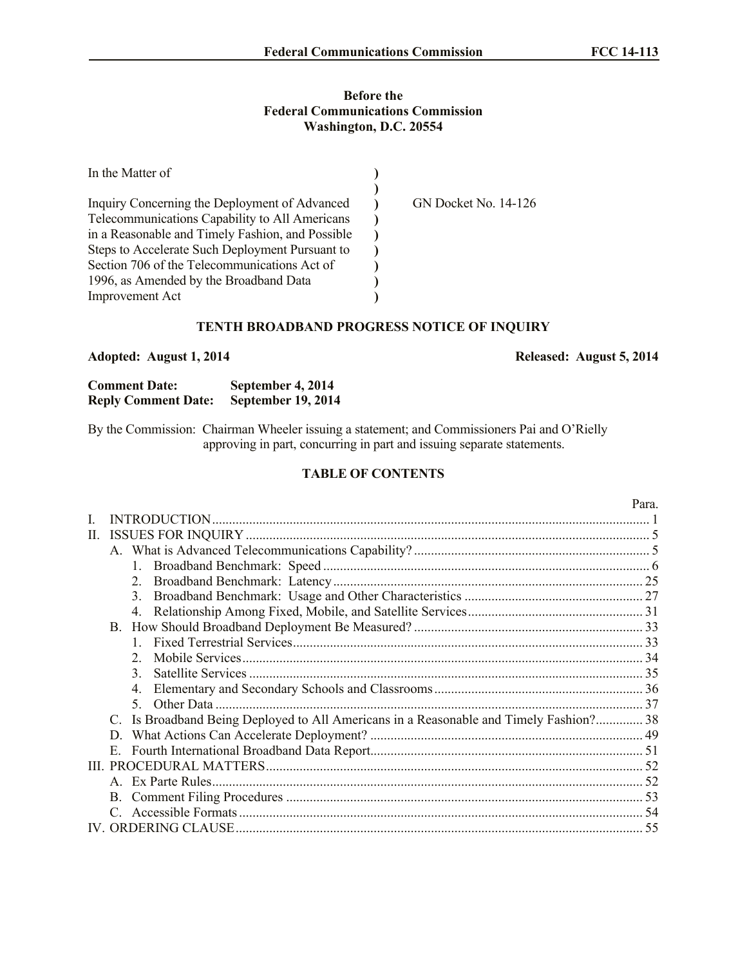## **Before the Federal Communications Commission Washington, D.C. 20554**

| In the Matter of                                 |                             |
|--------------------------------------------------|-----------------------------|
|                                                  |                             |
| Inquiry Concerning the Deployment of Advanced    | <b>GN Docket No. 14-126</b> |
| Telecommunications Capability to All Americans   |                             |
| in a Reasonable and Timely Fashion, and Possible |                             |
| Steps to Accelerate Such Deployment Pursuant to  |                             |
| Section 706 of the Telecommunications Act of     |                             |
| 1996, as Amended by the Broadband Data           |                             |
| <b>Improvement Act</b>                           |                             |

## **TENTH BROADBAND PROGRESS NOTICE OF INQUIRY**

# **Adopted: August 1, 2014 Released: August 5, 2014**

| <b>Comment Date:</b>       | September 4, 2014  |
|----------------------------|--------------------|
| <b>Reply Comment Date:</b> | September 19, 2014 |

By the Commission: Chairman Wheeler issuing a statement; and Commissioners Pai and O'Rielly approving in part, concurring in part and issuing separate statements.

#### **TABLE OF CONTENTS**

|    |                                                                                     | Para. |
|----|-------------------------------------------------------------------------------------|-------|
| I. |                                                                                     |       |
| П. |                                                                                     |       |
|    |                                                                                     |       |
|    | $1_{-}$                                                                             |       |
|    | $\overline{2}$ .                                                                    |       |
|    | $\mathcal{E}$                                                                       |       |
|    | 4.                                                                                  |       |
|    | B.                                                                                  |       |
|    |                                                                                     |       |
|    | $\mathfrak{D}$                                                                      |       |
|    | $\mathcal{E}$                                                                       |       |
|    | 4.                                                                                  |       |
|    |                                                                                     |       |
|    | Is Broadband Being Deployed to All Americans in a Reasonable and Timely Fashion? 38 |       |
|    | D.                                                                                  |       |
|    | Е.                                                                                  |       |
|    |                                                                                     |       |
|    |                                                                                     |       |
|    |                                                                                     |       |
|    |                                                                                     |       |
|    |                                                                                     |       |
|    |                                                                                     |       |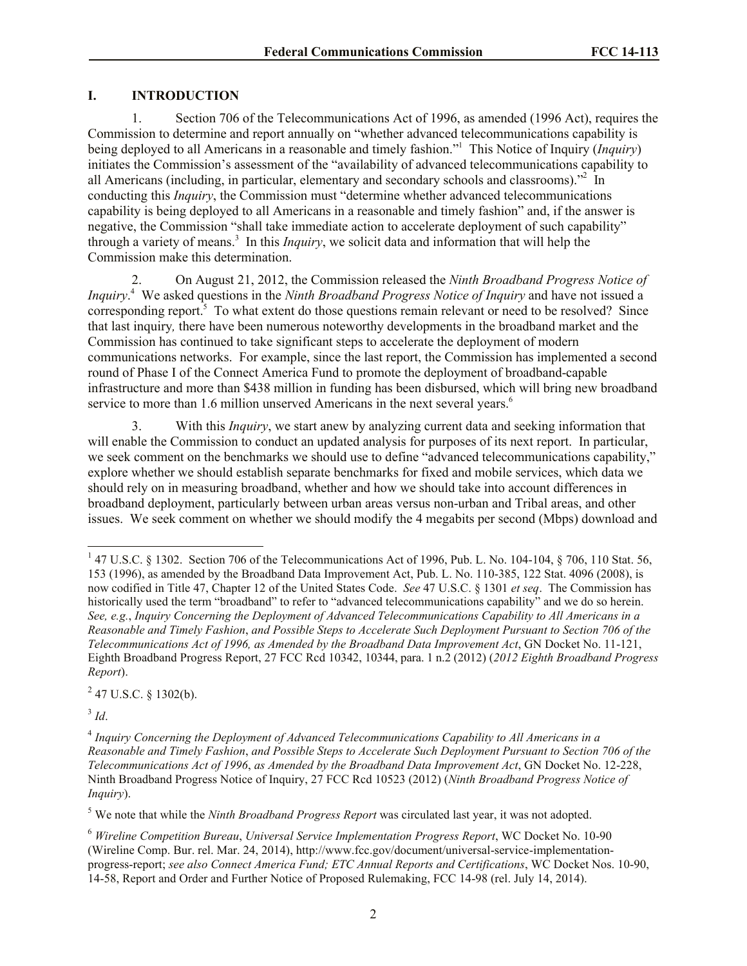### **I. INTRODUCTION**

1. Section 706 of the Telecommunications Act of 1996, as amended (1996 Act), requires the Commission to determine and report annually on "whether advanced telecommunications capability is being deployed to all Americans in a reasonable and timely fashion."<sup>1</sup> This Notice of Inquiry (*Inquiry*) initiates the Commission's assessment of the "availability of advanced telecommunications capability to all Americans (including, in particular, elementary and secondary schools and classrooms).<sup>32</sup> In conducting this *Inquiry*, the Commission must "determine whether advanced telecommunications capability is being deployed to all Americans in a reasonable and timely fashion" and, if the answer is negative, the Commission "shall take immediate action to accelerate deployment of such capability" through a variety of means.<sup>3</sup> In this *Inquiry*, we solicit data and information that will help the Commission make this determination.

2. On August 21, 2012, the Commission released the *Ninth Broadband Progress Notice of Inquiry*. 4 We asked questions in the *Ninth Broadband Progress Notice of Inquiry* and have not issued a corresponding report.<sup>5</sup> To what extent do those questions remain relevant or need to be resolved? Since that last inquiry*,* there have been numerous noteworthy developments in the broadband market and the Commission has continued to take significant steps to accelerate the deployment of modern communications networks. For example, since the last report, the Commission has implemented a second round of Phase I of the Connect America Fund to promote the deployment of broadband-capable infrastructure and more than \$438 million in funding has been disbursed, which will bring new broadband service to more than 1.6 million unserved Americans in the next several years.<sup>6</sup>

3. With this *Inquiry*, we start anew by analyzing current data and seeking information that will enable the Commission to conduct an updated analysis for purposes of its next report. In particular, we seek comment on the benchmarks we should use to define "advanced telecommunications capability," explore whether we should establish separate benchmarks for fixed and mobile services, which data we should rely on in measuring broadband, whether and how we should take into account differences in broadband deployment, particularly between urban areas versus non-urban and Tribal areas, and other issues. We seek comment on whether we should modify the 4 megabits per second (Mbps) download and

 $^{2}$  47 U.S.C. § 1302(b).

3 *Id*.

 1 47 U.S.C. § 1302. Section 706 of the Telecommunications Act of 1996, Pub. L. No. 104-104, § 706, 110 Stat. 56, 153 (1996), as amended by the Broadband Data Improvement Act, Pub. L. No. 110-385, 122 Stat. 4096 (2008), is now codified in Title 47, Chapter 12 of the United States Code. *See* 47 U.S.C. § 1301 *et seq*. The Commission has historically used the term "broadband" to refer to "advanced telecommunications capability" and we do so herein. *See, e.g.*, *Inquiry Concerning the Deployment of Advanced Telecommunications Capability to All Americans in a Reasonable and Timely Fashion*, *and Possible Steps to Accelerate Such Deployment Pursuant to Section 706 of the Telecommunications Act of 1996, as Amended by the Broadband Data Improvement Act*, GN Docket No. 11-121, Eighth Broadband Progress Report, 27 FCC Rcd 10342, 10344, para. 1 n.2 (2012) (*2012 Eighth Broadband Progress Report*).

<sup>4</sup> *Inquiry Concerning the Deployment of Advanced Telecommunications Capability to All Americans in a Reasonable and Timely Fashion*, *and Possible Steps to Accelerate Such Deployment Pursuant to Section 706 of the Telecommunications Act of 1996*, *as Amended by the Broadband Data Improvement Act*, GN Docket No. 12-228, Ninth Broadband Progress Notice of Inquiry, 27 FCC Rcd 10523 (2012) (*Ninth Broadband Progress Notice of Inquiry*).

<sup>5</sup> We note that while the *Ninth Broadband Progress Report* was circulated last year, it was not adopted.

<sup>6</sup> *Wireline Competition Bureau*, *Universal Service Implementation Progress Report*, WC Docket No. 10-90 (Wireline Comp. Bur. rel. Mar. 24, 2014), http://www.fcc.gov/document/universal-service-implementationprogress-report; *see also Connect America Fund; ETC Annual Reports and Certifications*, WC Docket Nos. 10-90, 14-58, Report and Order and Further Notice of Proposed Rulemaking, FCC 14-98 (rel. July 14, 2014).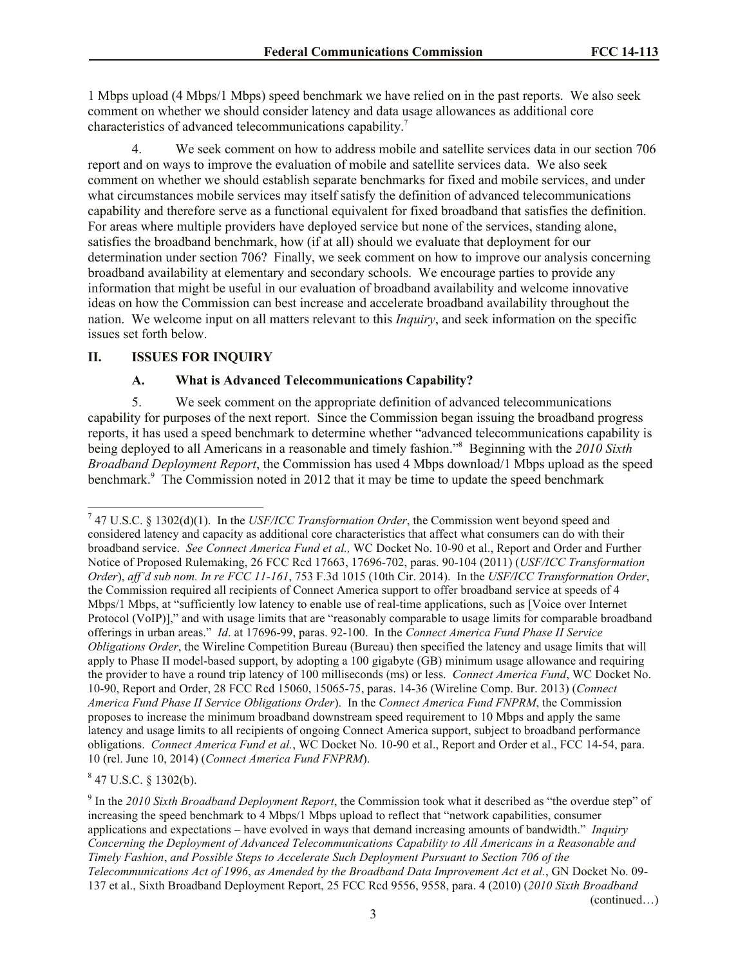1 Mbps upload (4 Mbps/1 Mbps) speed benchmark we have relied on in the past reports. We also seek comment on whether we should consider latency and data usage allowances as additional core characteristics of advanced telecommunications capability.<sup>7</sup>

4. We seek comment on how to address mobile and satellite services data in our section 706 report and on ways to improve the evaluation of mobile and satellite services data. We also seek comment on whether we should establish separate benchmarks for fixed and mobile services, and under what circumstances mobile services may itself satisfy the definition of advanced telecommunications capability and therefore serve as a functional equivalent for fixed broadband that satisfies the definition. For areas where multiple providers have deployed service but none of the services, standing alone, satisfies the broadband benchmark, how (if at all) should we evaluate that deployment for our determination under section 706? Finally, we seek comment on how to improve our analysis concerning broadband availability at elementary and secondary schools. We encourage parties to provide any information that might be useful in our evaluation of broadband availability and welcome innovative ideas on how the Commission can best increase and accelerate broadband availability throughout the nation. We welcome input on all matters relevant to this *Inquiry*, and seek information on the specific issues set forth below.

# **II. ISSUES FOR INQUIRY**

# **A. What is Advanced Telecommunications Capability?**

5. We seek comment on the appropriate definition of advanced telecommunications capability for purposes of the next report. Since the Commission began issuing the broadband progress reports, it has used a speed benchmark to determine whether "advanced telecommunications capability is being deployed to all Americans in a reasonable and timely fashion."<sup>8</sup> Beginning with the *2010 Sixth Broadband Deployment Report*, the Commission has used 4 Mbps download/1 Mbps upload as the speed benchmark.<sup>9</sup> The Commission noted in 2012 that it may be time to update the speed benchmark

 $847$  U.S.C. § 1302(b).

(continued…)

 7 47 U.S.C. § 1302(d)(1). In the *USF/ICC Transformation Order*, the Commission went beyond speed and considered latency and capacity as additional core characteristics that affect what consumers can do with their broadband service. *See Connect America Fund et al.,* WC Docket No. 10-90 et al., Report and Order and Further Notice of Proposed Rulemaking, 26 FCC Rcd 17663, 17696-702, paras. 90-104 (2011) (*USF/ICC Transformation Order*), *aff'd sub nom. In re FCC 11-161*, 753 F.3d 1015 (10th Cir. 2014). In the *USF/ICC Transformation Order*, the Commission required all recipients of Connect America support to offer broadband service at speeds of 4 Mbps/1 Mbps, at "sufficiently low latency to enable use of real-time applications, such as [Voice over Internet Protocol (VoIP)]," and with usage limits that are "reasonably comparable to usage limits for comparable broadband offerings in urban areas." *Id*. at 17696-99, paras. 92-100. In the *Connect America Fund Phase II Service Obligations Order*, the Wireline Competition Bureau (Bureau) then specified the latency and usage limits that will apply to Phase II model-based support, by adopting a 100 gigabyte (GB) minimum usage allowance and requiring the provider to have a round trip latency of 100 milliseconds (ms) or less. *Connect America Fund*, WC Docket No. 10-90, Report and Order, 28 FCC Rcd 15060, 15065-75, paras. 14-36 (Wireline Comp. Bur. 2013) (*Connect America Fund Phase II Service Obligations Order*). In the *Connect America Fund FNPRM*, the Commission proposes to increase the minimum broadband downstream speed requirement to 10 Mbps and apply the same latency and usage limits to all recipients of ongoing Connect America support, subject to broadband performance obligations. *Connect America Fund et al.*, WC Docket No. 10-90 et al., Report and Order et al., FCC 14-54, para. 10 (rel. June 10, 2014) (*Connect America Fund FNPRM*).

<sup>9</sup> In the *2010 Sixth Broadband Deployment Report*, the Commission took what it described as "the overdue step" of increasing the speed benchmark to 4 Mbps/1 Mbps upload to reflect that "network capabilities, consumer applications and expectations – have evolved in ways that demand increasing amounts of bandwidth." *Inquiry Concerning the Deployment of Advanced Telecommunications Capability to All Americans in a Reasonable and Timely Fashion*, *and Possible Steps to Accelerate Such Deployment Pursuant to Section 706 of the Telecommunications Act of 1996*, *as Amended by the Broadband Data Improvement Act et al.*, GN Docket No. 09- 137 et al., Sixth Broadband Deployment Report, 25 FCC Rcd 9556, 9558, para. 4 (2010) (*2010 Sixth Broadband*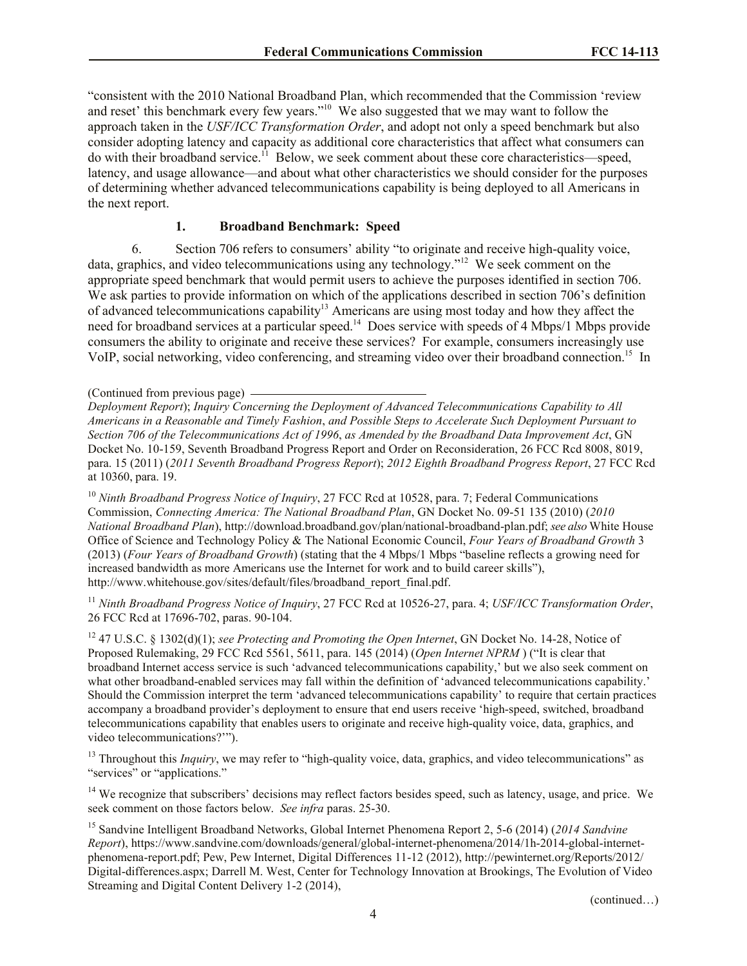"consistent with the 2010 National Broadband Plan, which recommended that the Commission 'review and reset' this benchmark every few years."<sup>10</sup> We also suggested that we may want to follow the approach taken in the *USF/ICC Transformation Order*, and adopt not only a speed benchmark but also consider adopting latency and capacity as additional core characteristics that affect what consumers can do with their broadband service.<sup>11</sup> Below, we seek comment about these core characteristics—speed, latency, and usage allowance—and about what other characteristics we should consider for the purposes of determining whether advanced telecommunications capability is being deployed to all Americans in the next report.

#### **1. Broadband Benchmark: Speed**

6. Section 706 refers to consumers' ability "to originate and receive high-quality voice, data, graphics, and video telecommunications using any technology."<sup>12</sup> We seek comment on the appropriate speed benchmark that would permit users to achieve the purposes identified in section 706. We ask parties to provide information on which of the applications described in section 706's definition of advanced telecommunications capability<sup>13</sup> Americans are using most today and how they affect the need for broadband services at a particular speed.<sup>14</sup> Does service with speeds of 4 Mbps/1 Mbps provide consumers the ability to originate and receive these services? For example, consumers increasingly use VoIP, social networking, video conferencing, and streaming video over their broadband connection.<sup>15</sup> In

*Deployment Report*); *Inquiry Concerning the Deployment of Advanced Telecommunications Capability to All Americans in a Reasonable and Timely Fashion*, *and Possible Steps to Accelerate Such Deployment Pursuant to Section 706 of the Telecommunications Act of 1996*, *as Amended by the Broadband Data Improvement Act*, GN Docket No. 10-159, Seventh Broadband Progress Report and Order on Reconsideration, 26 FCC Rcd 8008, 8019, para. 15 (2011) (*2011 Seventh Broadband Progress Report*); *2012 Eighth Broadband Progress Report*, 27 FCC Rcd at 10360, para. 19.

<sup>10</sup> Ninth Broadband Progress Notice of Inquiry, 27 FCC Rcd at 10528, para. 7; Federal Communications Commission, *Connecting America: The National Broadband Plan*, GN Docket No. 09-51 135 (2010) (*2010 National Broadband Plan*), http://download.broadband.gov/plan/national-broadband-plan.pdf; *see also* White House Office of Science and Technology Policy & The National Economic Council, *Four Years of Broadband Growth* 3 (2013) (*Four Years of Broadband Growth*) (stating that the 4 Mbps/1 Mbps "baseline reflects a growing need for increased bandwidth as more Americans use the Internet for work and to build career skills"), http://www.whitehouse.gov/sites/default/files/broadband\_report\_final.pdf.

<sup>11</sup> *Ninth Broadband Progress Notice of Inquiry*, 27 FCC Rcd at 10526-27, para. 4; *USF/ICC Transformation Order*, 26 FCC Rcd at 17696-702, paras. 90-104.

<sup>12</sup> 47 U.S.C. § 1302(d)(1); *see Protecting and Promoting the Open Internet*, GN Docket No. 14-28, Notice of Proposed Rulemaking, 29 FCC Rcd 5561, 5611, para. 145 (2014) (*Open Internet NPRM* ) ("It is clear that broadband Internet access service is such 'advanced telecommunications capability,' but we also seek comment on what other broadband-enabled services may fall within the definition of 'advanced telecommunications capability.' Should the Commission interpret the term 'advanced telecommunications capability' to require that certain practices accompany a broadband provider's deployment to ensure that end users receive 'high-speed, switched, broadband telecommunications capability that enables users to originate and receive high-quality voice, data, graphics, and video telecommunications?'").

<sup>13</sup> Throughout this *Inquiry*, we may refer to "high-quality voice, data, graphics, and video telecommunications" as "services" or "applications."

 $14$  We recognize that subscribers' decisions may reflect factors besides speed, such as latency, usage, and price. We seek comment on those factors below. *See infra* paras. 25-30.

<sup>15</sup> Sandvine Intelligent Broadband Networks, Global Internet Phenomena Report 2, 5-6 (2014) (*2014 Sandvine Report*), https://www.sandvine.com/downloads/general/global-internet-phenomena/2014/1h-2014-global-internetphenomena-report.pdf; Pew, Pew Internet, Digital Differences 11-12 (2012), http://pewinternet.org/Reports/2012/ Digital-differences.aspx; Darrell M. West, Center for Technology Innovation at Brookings, The Evolution of Video Streaming and Digital Content Delivery 1-2 (2014),

(continued…)

<sup>(</sup>Continued from previous page)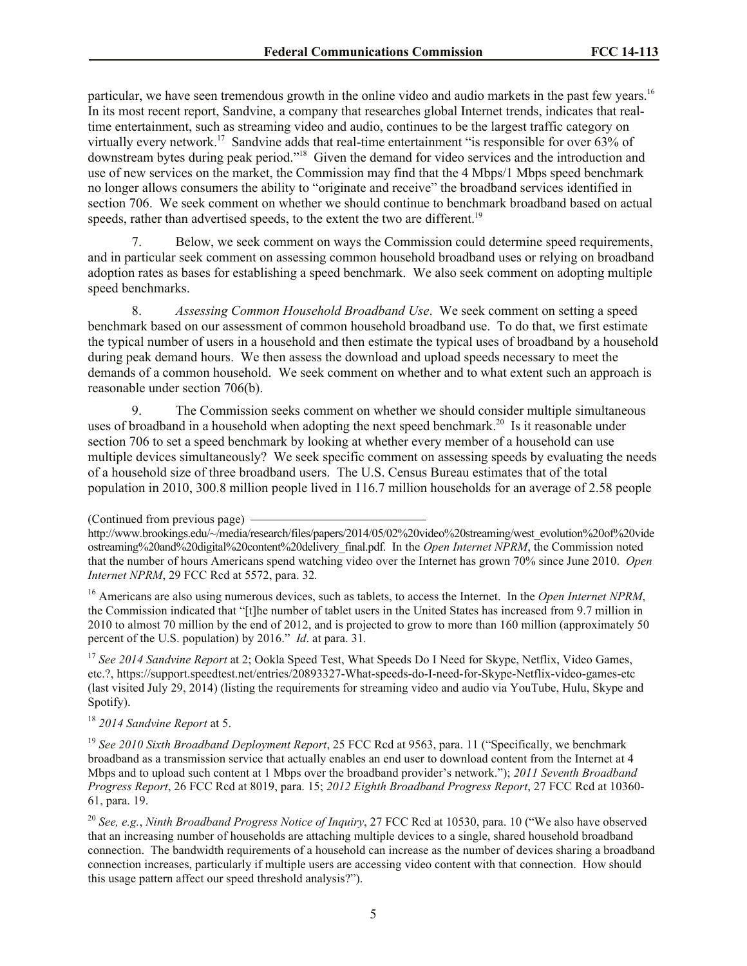particular, we have seen tremendous growth in the online video and audio markets in the past few years.<sup>16</sup> In its most recent report, Sandvine, a company that researches global Internet trends, indicates that realtime entertainment, such as streaming video and audio, continues to be the largest traffic category on virtually every network.<sup>17</sup> Sandvine adds that real-time entertainment "is responsible for over 63% of downstream bytes during peak period."<sup>18</sup> Given the demand for video services and the introduction and use of new services on the market, the Commission may find that the 4 Mbps/1 Mbps speed benchmark no longer allows consumers the ability to "originate and receive" the broadband services identified in section 706. We seek comment on whether we should continue to benchmark broadband based on actual speeds, rather than advertised speeds, to the extent the two are different.<sup>19</sup>

7. Below, we seek comment on ways the Commission could determine speed requirements, and in particular seek comment on assessing common household broadband uses or relying on broadband adoption rates as bases for establishing a speed benchmark. We also seek comment on adopting multiple speed benchmarks.

8. *Assessing Common Household Broadband Use*. We seek comment on setting a speed benchmark based on our assessment of common household broadband use. To do that, we first estimate the typical number of users in a household and then estimate the typical uses of broadband by a household during peak demand hours. We then assess the download and upload speeds necessary to meet the demands of a common household. We seek comment on whether and to what extent such an approach is reasonable under section 706(b).

9. The Commission seeks comment on whether we should consider multiple simultaneous uses of broadband in a household when adopting the next speed benchmark.<sup>20</sup> Is it reasonable under section 706 to set a speed benchmark by looking at whether every member of a household can use multiple devices simultaneously? We seek specific comment on assessing speeds by evaluating the needs of a household size of three broadband users. The U.S. Census Bureau estimates that of the total population in 2010, 300.8 million people lived in 116.7 million households for an average of 2.58 people

<sup>17</sup> See 2014 Sandvine Report at 2: Ookla Speed Test, What Speeds Do I Need for Skype, Netflix, Video Games, etc.?, https://support.speedtest.net/entries/20893327-What-speeds-do-I-need-for-Skype-Netflix-video-games-etc (last visited July 29, 2014) (listing the requirements for streaming video and audio via YouTube, Hulu, Skype and Spotify).

<sup>18</sup> *2014 Sandvine Report* at 5.

<sup>19</sup> See 2010 Sixth Broadband Deployment Report, 25 FCC Rcd at 9563, para. 11 ("Specifically, we benchmark broadband as a transmission service that actually enables an end user to download content from the Internet at 4 Mbps and to upload such content at 1 Mbps over the broadband provider's network."); *2011 Seventh Broadband Progress Report*, 26 FCC Rcd at 8019, para. 15; *2012 Eighth Broadband Progress Report*, 27 FCC Rcd at 10360- 61, para. 19.

<sup>(</sup>Continued from previous page)

http://www.brookings.edu/~/media/research/files/papers/2014/05/02%20video%20streaming/west\_evolution%20of%20vide ostreaming%20and%20digital%20content%20delivery\_final.pdf. In the *Open Internet NPRM*, the Commission noted that the number of hours Americans spend watching video over the Internet has grown 70% since June 2010. *Open Internet NPRM*, 29 FCC Rcd at 5572, para. 32*.* 

<sup>16</sup> Americans are also using numerous devices, such as tablets, to access the Internet. In the *Open Internet NPRM*, the Commission indicated that "[t]he number of tablet users in the United States has increased from 9.7 million in 2010 to almost 70 million by the end of 2012, and is projected to grow to more than 160 million (approximately 50 percent of the U.S. population) by 2016." *Id*. at para. 31*.* 

<sup>20</sup> *See, e.g.*, *Ninth Broadband Progress Notice of Inquiry*, 27 FCC Rcd at 10530, para. 10 ("We also have observed that an increasing number of households are attaching multiple devices to a single, shared household broadband connection. The bandwidth requirements of a household can increase as the number of devices sharing a broadband connection increases, particularly if multiple users are accessing video content with that connection. How should this usage pattern affect our speed threshold analysis?").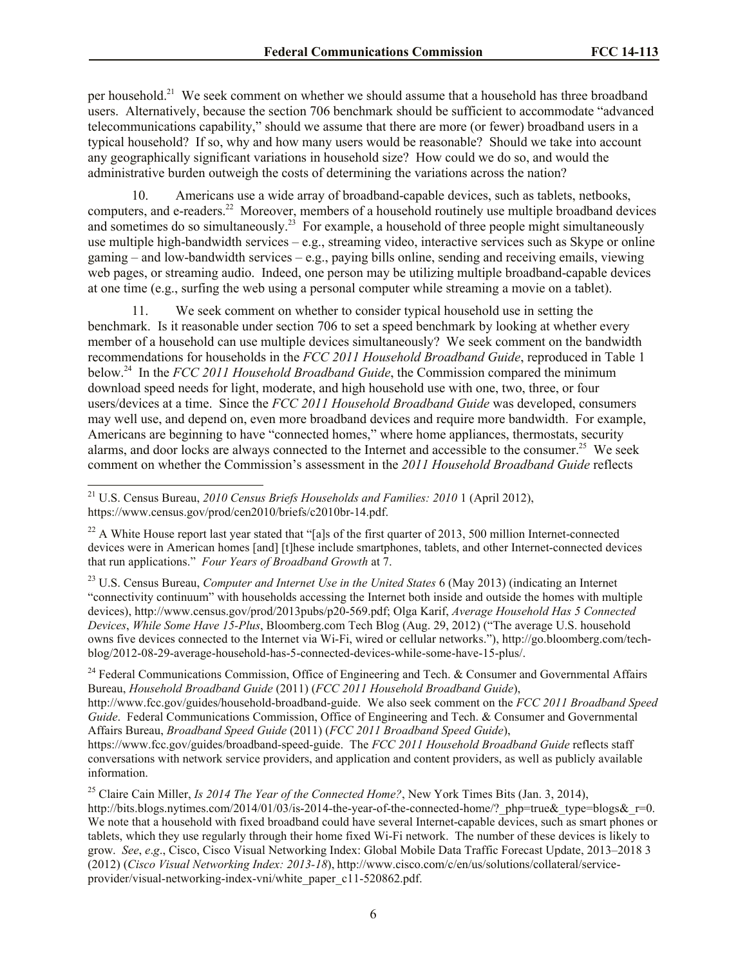per household.<sup>21</sup> We seek comment on whether we should assume that a household has three broadband users. Alternatively, because the section 706 benchmark should be sufficient to accommodate "advanced telecommunications capability," should we assume that there are more (or fewer) broadband users in a typical household? If so, why and how many users would be reasonable? Should we take into account any geographically significant variations in household size? How could we do so, and would the administrative burden outweigh the costs of determining the variations across the nation?

10. Americans use a wide array of broadband-capable devices, such as tablets, netbooks, computers, and e-readers.<sup>22</sup> Moreover, members of a household routinely use multiple broadband devices and sometimes do so simultaneously.<sup>23</sup> For example, a household of three people might simultaneously use multiple high-bandwidth services – e.g., streaming video, interactive services such as Skype or online gaming – and low-bandwidth services – e.g., paying bills online, sending and receiving emails, viewing web pages, or streaming audio. Indeed, one person may be utilizing multiple broadband-capable devices at one time (e.g., surfing the web using a personal computer while streaming a movie on a tablet).

11. We seek comment on whether to consider typical household use in setting the benchmark. Is it reasonable under section 706 to set a speed benchmark by looking at whether every member of a household can use multiple devices simultaneously? We seek comment on the bandwidth recommendations for households in the *FCC 2011 Household Broadband Guide*, reproduced in Table 1 below.<sup>24</sup> In the *FCC 2011 Household Broadband Guide*, the Commission compared the minimum download speed needs for light, moderate, and high household use with one, two, three, or four users/devices at a time. Since the *FCC 2011 Household Broadband Guide* was developed, consumers may well use, and depend on, even more broadband devices and require more bandwidth. For example, Americans are beginning to have "connected homes," where home appliances, thermostats, security alarms, and door locks are always connected to the Internet and accessible to the consumer.<sup>25</sup> We seek comment on whether the Commission's assessment in the *2011 Household Broadband Guide* reflects

l

<sup>23</sup> U.S. Census Bureau, *Computer and Internet Use in the United States* 6 (May 2013) (indicating an Internet "connectivity continuum" with households accessing the Internet both inside and outside the homes with multiple devices), http://www.census.gov/prod/2013pubs/p20-569.pdf; Olga Karif, *Average Household Has 5 Connected Devices*, *While Some Have 15-Plus*, Bloomberg.com Tech Blog (Aug. 29, 2012) ("The average U.S. household owns five devices connected to the Internet via Wi-Fi, wired or cellular networks."), http://go.bloomberg.com/techblog/2012-08-29-average-household-has-5-connected-devices-while-some-have-15-plus/.

<sup>24</sup> Federal Communications Commission, Office of Engineering and Tech. & Consumer and Governmental Affairs Bureau, *Household Broadband Guide* (2011) (*FCC 2011 Household Broadband Guide*),

http://www.fcc.gov/guides/household-broadband-guide. We also seek comment on the *FCC 2011 Broadband Speed Guide*. Federal Communications Commission, Office of Engineering and Tech. & Consumer and Governmental Affairs Bureau, *Broadband Speed Guide* (2011) (*FCC 2011 Broadband Speed Guide*),

https://www.fcc.gov/guides/broadband-speed-guide. The *FCC 2011 Household Broadband Guide* reflects staff conversations with network service providers, and application and content providers, as well as publicly available information.

<sup>25</sup> Claire Cain Miller, *Is 2014 The Year of the Connected Home?*, New York Times Bits (Jan. 3, 2014), http://bits.blogs.nytimes.com/2014/01/03/is-2014-the-year-of-the-connected-home/?\_php=true&\_type=blogs&\_r=0. We note that a household with fixed broadband could have several Internet-capable devices, such as smart phones or tablets, which they use regularly through their home fixed Wi-Fi network. The number of these devices is likely to grow. *See*, *e*.*g*., Cisco, Cisco Visual Networking Index: Global Mobile Data Traffic Forecast Update, 2013–2018 3 (2012) (*Cisco Visual Networking Index: 2013-18*), http://www.cisco.com/c/en/us/solutions/collateral/serviceprovider/visual-networking-index-vni/white\_paper\_c11-520862.pdf.

<sup>21</sup> U.S. Census Bureau, *2010 Census Briefs Households and Families: 2010* 1 (April 2012), https://www.census.gov/prod/cen2010/briefs/c2010br-14.pdf.

<sup>&</sup>lt;sup>22</sup> A White House report last year stated that "[a]s of the first quarter of 2013, 500 million Internet-connected devices were in American homes [and] [t]hese include smartphones, tablets, and other Internet-connected devices that run applications." *Four Years of Broadband Growth* at 7.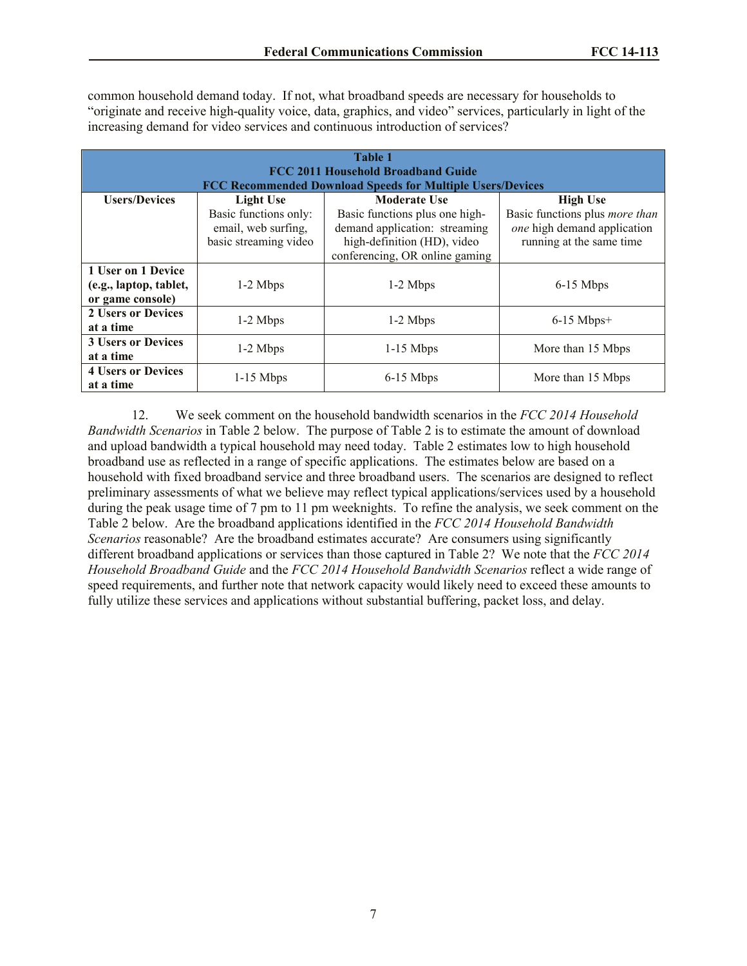common household demand today. If not, what broadband speeds are necessary for households to "originate and receive high-quality voice, data, graphics, and video" services, particularly in light of the increasing demand for video services and continuous introduction of services?

| <b>Table 1</b><br>FCC 2011 Household Broadband Guide       |                       |                                                         |                                       |  |  |  |  |
|------------------------------------------------------------|-----------------------|---------------------------------------------------------|---------------------------------------|--|--|--|--|
| FCC Recommended Download Speeds for Multiple Users/Devices |                       |                                                         |                                       |  |  |  |  |
| <b>Users/Devices</b>                                       | <b>Light Use</b>      | <b>Moderate Use</b>                                     | <b>High Use</b>                       |  |  |  |  |
|                                                            | Basic functions only: | Basic functions plus one high-                          | Basic functions plus <i>more than</i> |  |  |  |  |
|                                                            | email, web surfing,   | demand application: streaming                           | one high demand application           |  |  |  |  |
|                                                            | basic streaming video | high-definition (HD), video<br>running at the same time |                                       |  |  |  |  |
|                                                            |                       | conferencing, OR online gaming                          |                                       |  |  |  |  |
| 1 User on 1 Device                                         |                       |                                                         |                                       |  |  |  |  |
| (e.g., laptop, tablet,                                     | $1-2$ Mbps            | $1-2$ Mbps                                              | $6-15$ Mbps                           |  |  |  |  |
| or game console)                                           |                       |                                                         |                                       |  |  |  |  |
| 2 Users or Devices<br>$1-2$ Mbps<br>at a time              |                       |                                                         | $6-15$ Mbps+                          |  |  |  |  |
|                                                            |                       | $1-2$ Mbps                                              |                                       |  |  |  |  |
| <b>3 Users or Devices</b><br>$1-2$ Mbps<br>at a time       |                       |                                                         | More than 15 Mbps                     |  |  |  |  |
|                                                            |                       | $1-15$ Mbps                                             |                                       |  |  |  |  |
| <b>4 Users or Devices</b><br>$1-15$ Mbps<br>at a time      |                       |                                                         | More than 15 Mbps                     |  |  |  |  |
|                                                            |                       | $6-15$ Mbps                                             |                                       |  |  |  |  |

12. We seek comment on the household bandwidth scenarios in the *FCC 2014 Household Bandwidth Scenarios* in Table 2 below. The purpose of Table 2 is to estimate the amount of download and upload bandwidth a typical household may need today. Table 2 estimates low to high household broadband use as reflected in a range of specific applications. The estimates below are based on a household with fixed broadband service and three broadband users. The scenarios are designed to reflect preliminary assessments of what we believe may reflect typical applications/services used by a household during the peak usage time of 7 pm to 11 pm weeknights. To refine the analysis, we seek comment on the Table 2 below. Are the broadband applications identified in the *FCC 2014 Household Bandwidth Scenarios* reasonable? Are the broadband estimates accurate? Are consumers using significantly different broadband applications or services than those captured in Table 2? We note that the *FCC 2014 Household Broadband Guide* and the *FCC 2014 Household Bandwidth Scenarios* reflect a wide range of speed requirements, and further note that network capacity would likely need to exceed these amounts to fully utilize these services and applications without substantial buffering, packet loss, and delay.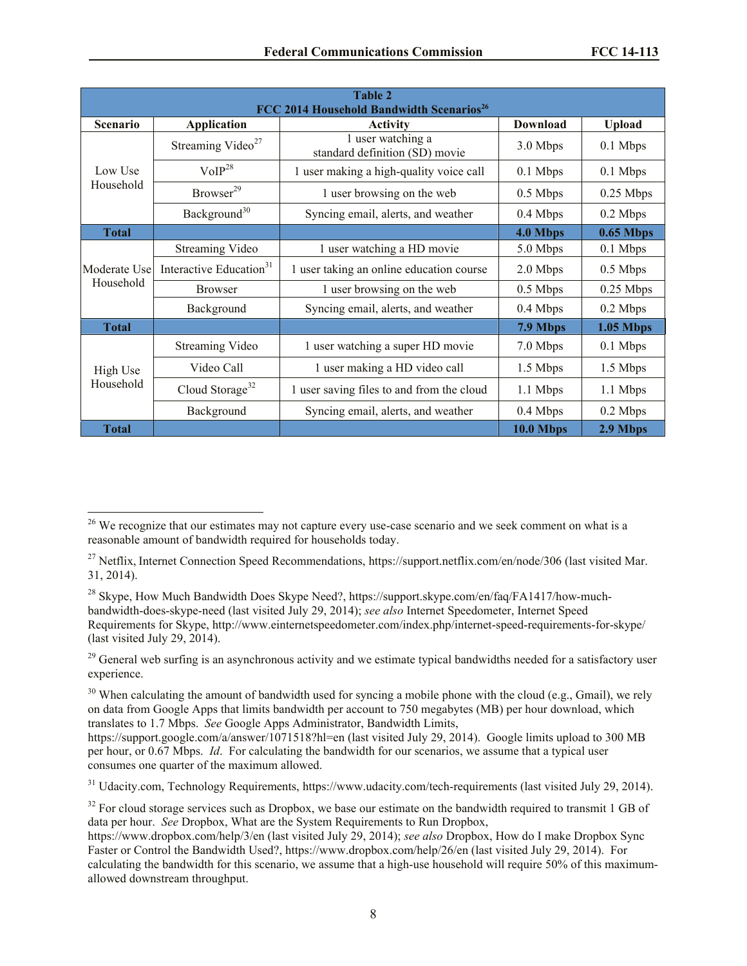| <b>Table 2</b><br>FCC 2014 Household Bandwidth Scenarios <sup>26</sup> |                                     |                                                     |                 |                  |  |  |  |
|------------------------------------------------------------------------|-------------------------------------|-----------------------------------------------------|-----------------|------------------|--|--|--|
| <b>Scenario</b>                                                        | <b>Application</b>                  | <b>Activity</b>                                     | <b>Download</b> | <b>Upload</b>    |  |  |  |
| Low Use<br>Household                                                   | Streaming Video <sup>27</sup>       | 1 user watching a<br>standard definition (SD) movie | 3.0 Mbps        | $0.1$ Mbps       |  |  |  |
|                                                                        | $VolP^{28}$                         | 1 user making a high-quality voice call             | $0.1$ Mbps      | $0.1$ Mbps       |  |  |  |
|                                                                        | Browser <sup>29</sup>               | 1 user browsing on the web                          | $0.5$ Mbps      | $0.25$ Mbps      |  |  |  |
|                                                                        | Background <sup>30</sup>            | Syncing email, alerts, and weather                  | 0.4 Mbps        | $0.2$ Mbps       |  |  |  |
| <b>Total</b>                                                           |                                     |                                                     | 4.0 Mbps        | $0.65$ Mbps      |  |  |  |
| Moderate Use<br>Household                                              | Streaming Video                     | 1 user watching a HD movie                          | 5.0 Mbps        | $0.1$ Mbps       |  |  |  |
|                                                                        | Interactive Education <sup>31</sup> | 1 user taking an online education course            | 2.0 Mbps        | $0.5$ Mbps       |  |  |  |
|                                                                        | <b>Browser</b>                      | 1 user browsing on the web                          | $0.5$ Mbps      | $0.25$ Mbps      |  |  |  |
|                                                                        | Background                          | Syncing email, alerts, and weather                  | 0.4 Mbps        | 0.2 Mbps         |  |  |  |
| <b>Total</b>                                                           |                                     |                                                     | 7.9 Mbps        | <b>1.05 Mbps</b> |  |  |  |
| High Use<br>Household                                                  | Streaming Video                     | 1 user watching a super HD movie                    | 7.0 Mbps        | $0.1$ Mbps       |  |  |  |
|                                                                        | Video Call                          | 1 user making a HD video call                       | 1.5 Mbps        | 1.5 Mbps         |  |  |  |
|                                                                        | Cloud Storage <sup>32</sup>         | 1 user saving files to and from the cloud           | 1.1 Mbps        | 1.1 Mbps         |  |  |  |
|                                                                        | Background                          | Syncing email, alerts, and weather                  | 0.4 Mbps        | $0.2$ Mbps       |  |  |  |
| <b>Total</b>                                                           |                                     |                                                     | 10.0 Mbps       | 2.9 Mbps         |  |  |  |

<sup>&</sup>lt;sup>26</sup> We recognize that our estimates may not capture every use-case scenario and we seek comment on what is a reasonable amount of bandwidth required for households today.

<sup>&</sup>lt;sup>27</sup> Netflix, Internet Connection Speed Recommendations, https://support.netflix.com/en/node/306 (last visited Mar. 31, 2014).

<sup>&</sup>lt;sup>28</sup> Skype, How Much Bandwidth Does Skype Need?, https://support.skype.com/en/faq/FA1417/how-muchbandwidth-does-skype-need (last visited July 29, 2014); *see also* Internet Speedometer, Internet Speed Requirements for Skype, http://www.einternetspeedometer.com/index.php/internet-speed-requirements-for-skype/ (last visited July 29, 2014).

 $29$  General web surfing is an asynchronous activity and we estimate typical bandwidths needed for a satisfactory user experience.

 $30$  When calculating the amount of bandwidth used for syncing a mobile phone with the cloud (e.g., Gmail), we rely on data from Google Apps that limits bandwidth per account to 750 megabytes (MB) per hour download, which translates to 1.7 Mbps. *See* Google Apps Administrator, Bandwidth Limits,

https://support.google.com/a/answer/1071518?hl=en (last visited July 29, 2014). Google limits upload to 300 MB per hour, or 0.67 Mbps. *Id*. For calculating the bandwidth for our scenarios, we assume that a typical user consumes one quarter of the maximum allowed.

<sup>&</sup>lt;sup>31</sup> Udacity.com, Technology Requirements, https://www.udacity.com/tech-requirements (last visited July 29, 2014).

 $32$  For cloud storage services such as Dropbox, we base our estimate on the bandwidth required to transmit 1 GB of data per hour. *See* Dropbox, What are the System Requirements to Run Dropbox,

https://www.dropbox.com/help/3/en (last visited July 29, 2014); *see also* Dropbox, How do I make Dropbox Sync Faster or Control the Bandwidth Used?, https://www.dropbox.com/help/26/en (last visited July 29, 2014). For calculating the bandwidth for this scenario, we assume that a high-use household will require 50% of this maximumallowed downstream throughput.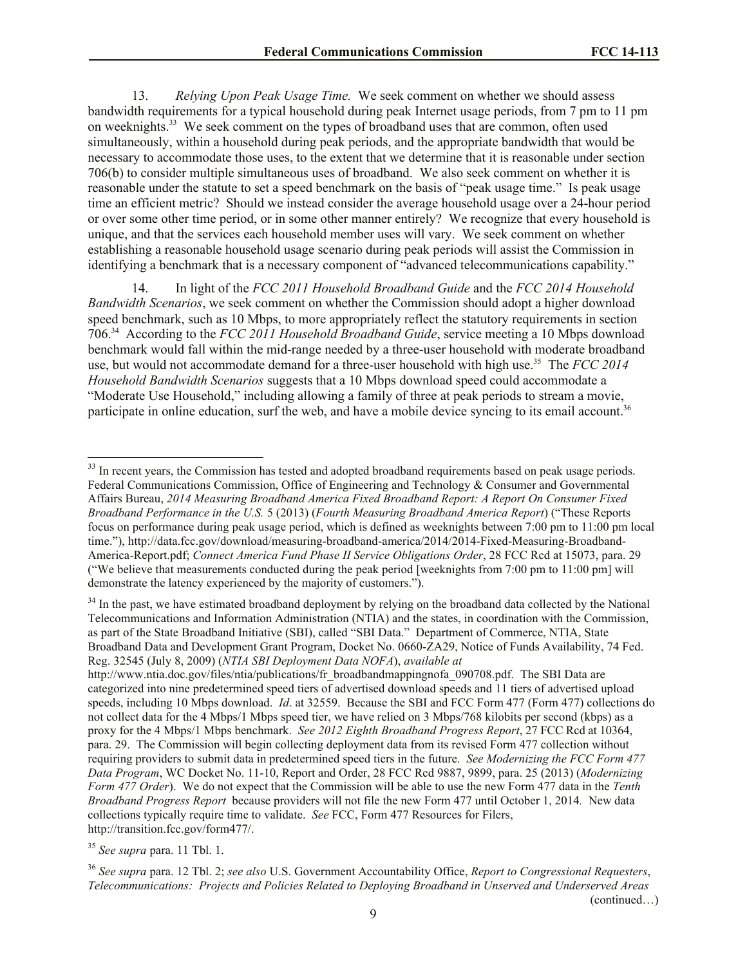13. *Relying Upon Peak Usage Time.* We seek comment on whether we should assess bandwidth requirements for a typical household during peak Internet usage periods, from 7 pm to 11 pm on weeknights.<sup>33</sup> We seek comment on the types of broadband uses that are common, often used simultaneously, within a household during peak periods, and the appropriate bandwidth that would be necessary to accommodate those uses, to the extent that we determine that it is reasonable under section 706(b) to consider multiple simultaneous uses of broadband. We also seek comment on whether it is reasonable under the statute to set a speed benchmark on the basis of "peak usage time." Is peak usage time an efficient metric? Should we instead consider the average household usage over a 24-hour period or over some other time period, or in some other manner entirely? We recognize that every household is unique, and that the services each household member uses will vary. We seek comment on whether establishing a reasonable household usage scenario during peak periods will assist the Commission in identifying a benchmark that is a necessary component of "advanced telecommunications capability."

14. In light of the *FCC 2011 Household Broadband Guide* and the *FCC 2014 Household Bandwidth Scenarios*, we seek comment on whether the Commission should adopt a higher download speed benchmark, such as 10 Mbps, to more appropriately reflect the statutory requirements in section 706.<sup>34</sup> According to the *FCC 2011 Household Broadband Guide*, service meeting a 10 Mbps download benchmark would fall within the mid-range needed by a three-user household with moderate broadband use, but would not accommodate demand for a three-user household with high use.<sup>35</sup> The *FCC* 2014 *Household Bandwidth Scenarios* suggests that a 10 Mbps download speed could accommodate a "Moderate Use Household," including allowing a family of three at peak periods to stream a movie, participate in online education, surf the web, and have a mobile device syncing to its email account.<sup>36</sup>

l

(continued…)

<sup>&</sup>lt;sup>33</sup> In recent years, the Commission has tested and adopted broadband requirements based on peak usage periods. Federal Communications Commission, Office of Engineering and Technology & Consumer and Governmental Affairs Bureau, *2014 Measuring Broadband America Fixed Broadband Report: A Report On Consumer Fixed Broadband Performance in the U.S.* 5 (2013) (*Fourth Measuring Broadband America Report*) ("These Reports focus on performance during peak usage period, which is defined as weeknights between 7:00 pm to 11:00 pm local time."), http://data.fcc.gov/download/measuring-broadband-america/2014/2014-Fixed-Measuring-Broadband-America-Report.pdf; *Connect America Fund Phase II Service Obligations Order*, 28 FCC Rcd at 15073, para. 29 ("We believe that measurements conducted during the peak period [weeknights from 7:00 pm to 11:00 pm] will demonstrate the latency experienced by the majority of customers.").

<sup>&</sup>lt;sup>34</sup> In the past, we have estimated broadband deployment by relying on the broadband data collected by the National Telecommunications and Information Administration (NTIA) and the states, in coordination with the Commission, as part of the State Broadband Initiative (SBI), called "SBI Data." Department of Commerce, NTIA, State Broadband Data and Development Grant Program, Docket No. 0660-ZA29, Notice of Funds Availability, 74 Fed. Reg. 32545 (July 8, 2009) (*NTIA SBI Deployment Data NOFA*), *available at* 

http://www.ntia.doc.gov/files/ntia/publications/fr\_broadbandmappingnofa\_090708.pdf. The SBI Data are categorized into nine predetermined speed tiers of advertised download speeds and 11 tiers of advertised upload speeds, including 10 Mbps download. *Id*. at 32559. Because the SBI and FCC Form 477 (Form 477) collections do not collect data for the 4 Mbps/1 Mbps speed tier, we have relied on 3 Mbps/768 kilobits per second (kbps) as a proxy for the 4 Mbps/1 Mbps benchmark. *See 2012 Eighth Broadband Progress Report*, 27 FCC Rcd at 10364, para. 29. The Commission will begin collecting deployment data from its revised Form 477 collection without requiring providers to submit data in predetermined speed tiers in the future. *See Modernizing the FCC Form 477 Data Program*, WC Docket No. 11-10, Report and Order, 28 FCC Rcd 9887, 9899, para. 25 (2013) (*Modernizing Form 477 Order*). We do not expect that the Commission will be able to use the new Form 477 data in the *Tenth Broadband Progress Report* because providers will not file the new Form 477 until October 1, 2014*.* New data collections typically require time to validate. *See* FCC, Form 477 Resources for Filers, http://transition.fcc.gov/form477/.

<sup>35</sup> *See supra* para. 11 Tbl. 1.

<sup>36</sup> *See supra* para. 12 Tbl. 2; *see also* U.S. Government Accountability Office, *Report to Congressional Requesters*, *Telecommunications: Projects and Policies Related to Deploying Broadband in Unserved and Underserved Areas*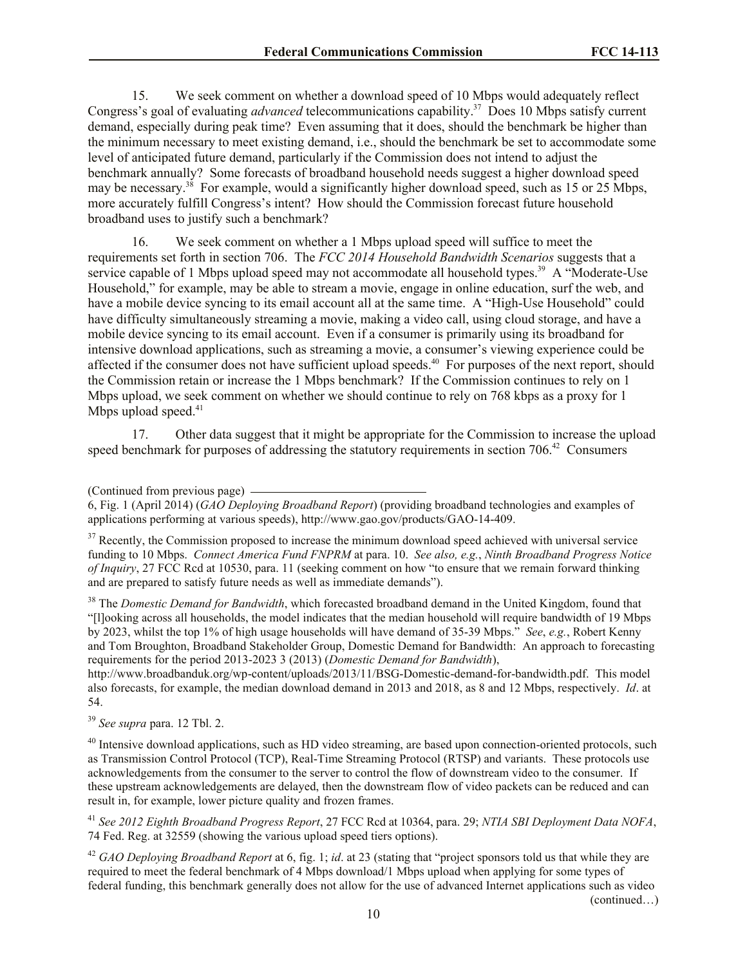15. We seek comment on whether a download speed of 10 Mbps would adequately reflect Congress's goal of evaluating *advanced* telecommunications capability.<sup>37</sup> Does 10 Mbps satisfy current demand, especially during peak time? Even assuming that it does, should the benchmark be higher than the minimum necessary to meet existing demand, i.e., should the benchmark be set to accommodate some level of anticipated future demand, particularly if the Commission does not intend to adjust the benchmark annually? Some forecasts of broadband household needs suggest a higher download speed may be necessary.<sup>38</sup> For example, would a significantly higher download speed, such as 15 or 25 Mbps, more accurately fulfill Congress's intent? How should the Commission forecast future household broadband uses to justify such a benchmark?

16. We seek comment on whether a 1 Mbps upload speed will suffice to meet the requirements set forth in section 706. The *FCC 2014 Household Bandwidth Scenarios* suggests that a service capable of 1 Mbps upload speed may not accommodate all household types.<sup>39</sup> A "Moderate-Use Household," for example, may be able to stream a movie, engage in online education, surf the web, and have a mobile device syncing to its email account all at the same time. A "High-Use Household" could have difficulty simultaneously streaming a movie, making a video call, using cloud storage, and have a mobile device syncing to its email account. Even if a consumer is primarily using its broadband for intensive download applications, such as streaming a movie, a consumer's viewing experience could be affected if the consumer does not have sufficient upload speeds.<sup>40</sup> For purposes of the next report, should the Commission retain or increase the 1 Mbps benchmark? If the Commission continues to rely on 1 Mbps upload, we seek comment on whether we should continue to rely on 768 kbps as a proxy for 1 Mbps upload speed.<sup>41</sup>

17. Other data suggest that it might be appropriate for the Commission to increase the upload speed benchmark for purposes of addressing the statutory requirements in section  $706<sup>42</sup>$  Consumers

<sup>38</sup> The *Domestic Demand for Bandwidth*, which forecasted broadband demand in the United Kingdom, found that "[l]ooking across all households, the model indicates that the median household will require bandwidth of 19 Mbps by 2023, whilst the top 1% of high usage households will have demand of 35-39 Mbps." *See*, *e.g.*, Robert Kenny and Tom Broughton, Broadband Stakeholder Group, Domestic Demand for Bandwidth: An approach to forecasting requirements for the period 2013-2023 3 (2013) (*Domestic Demand for Bandwidth*),

http://www.broadbanduk.org/wp-content/uploads/2013/11/BSG-Domestic-demand-for-bandwidth.pdf. This model also forecasts, for example, the median download demand in 2013 and 2018, as 8 and 12 Mbps, respectively. *Id*. at 54.

<sup>39</sup> *See supra* para. 12 Tbl. 2.

<sup>40</sup> Intensive download applications, such as HD video streaming, are based upon connection-oriented protocols, such as Transmission Control Protocol (TCP), Real-Time Streaming Protocol (RTSP) and variants. These protocols use acknowledgements from the consumer to the server to control the flow of downstream video to the consumer. If these upstream acknowledgements are delayed, then the downstream flow of video packets can be reduced and can result in, for example, lower picture quality and frozen frames.

<sup>41</sup> *See 2012 Eighth Broadband Progress Report*, 27 FCC Rcd at 10364, para. 29; *NTIA SBI Deployment Data NOFA*, 74 Fed. Reg. at 32559 (showing the various upload speed tiers options).

<sup>42</sup> GAO Deploying Broadband Report at 6, fig. 1; *id.* at 23 (stating that "project sponsors told us that while they are required to meet the federal benchmark of 4 Mbps download/1 Mbps upload when applying for some types of federal funding, this benchmark generally does not allow for the use of advanced Internet applications such as video (continued…)

<sup>(</sup>Continued from previous page)

<sup>6,</sup> Fig. 1 (April 2014) (*GAO Deploying Broadband Report*) (providing broadband technologies and examples of applications performing at various speeds), http://www.gao.gov/products/GAO-14-409.

<sup>&</sup>lt;sup>37</sup> Recently, the Commission proposed to increase the minimum download speed achieved with universal service funding to 10 Mbps. *Connect America Fund FNPRM* at para. 10. *See also, e.g.*, *Ninth Broadband Progress Notice of Inquiry*, 27 FCC Rcd at 10530, para. 11 (seeking comment on how "to ensure that we remain forward thinking and are prepared to satisfy future needs as well as immediate demands").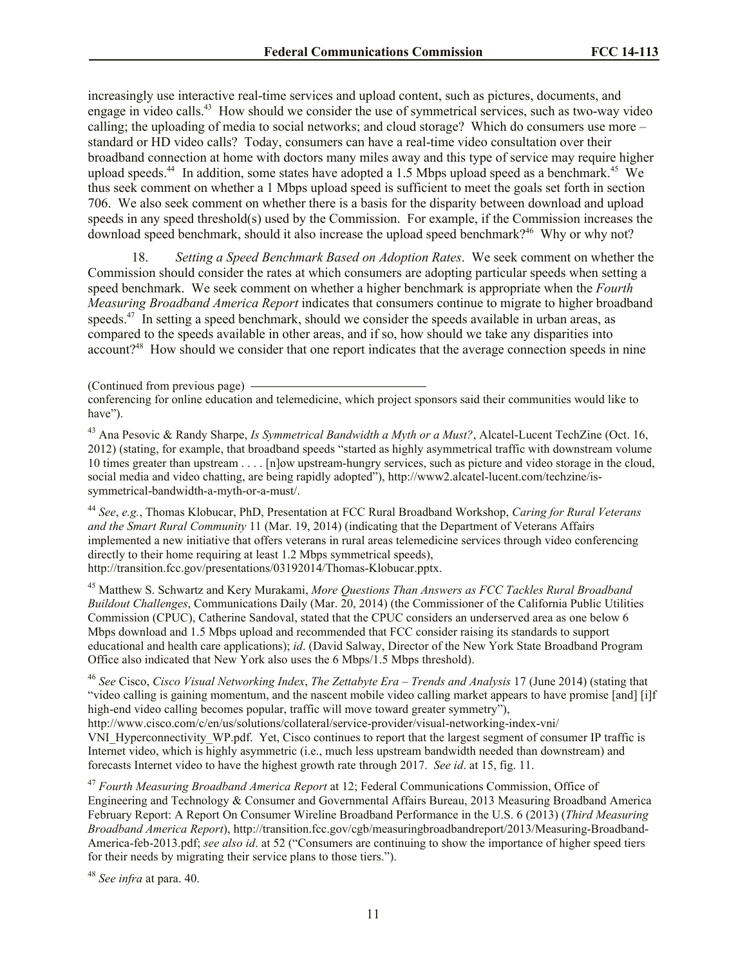increasingly use interactive real-time services and upload content, such as pictures, documents, and engage in video calls.<sup>43</sup> How should we consider the use of symmetrical services, such as two-way video calling; the uploading of media to social networks; and cloud storage? Which do consumers use more – standard or HD video calls? Today, consumers can have a real-time video consultation over their broadband connection at home with doctors many miles away and this type of service may require higher upload speeds.<sup>44</sup> In addition, some states have adopted a 1.5 Mbps upload speed as a benchmark.<sup>45</sup> We thus seek comment on whether a 1 Mbps upload speed is sufficient to meet the goals set forth in section 706. We also seek comment on whether there is a basis for the disparity between download and upload speeds in any speed threshold(s) used by the Commission. For example, if the Commission increases the download speed benchmark, should it also increase the upload speed benchmark?<sup>46</sup> Why or why not?

18. *Setting a Speed Benchmark Based on Adoption Rates*.We seek comment on whether the Commission should consider the rates at which consumers are adopting particular speeds when setting a speed benchmark. We seek comment on whether a higher benchmark is appropriate when the *Fourth Measuring Broadband America Report* indicates that consumers continue to migrate to higher broadband speeds.<sup>47</sup> In setting a speed benchmark, should we consider the speeds available in urban areas, as compared to the speeds available in other areas, and if so, how should we take any disparities into account?<sup>48</sup> How should we consider that one report indicates that the average connection speeds in nine

(Continued from previous page)

conferencing for online education and telemedicine, which project sponsors said their communities would like to have").

<sup>43</sup> Ana Pesovic & Randy Sharpe, *Is Symmetrical Bandwidth a Myth or a Must?*, Alcatel-Lucent TechZine (Oct. 16, 2012) (stating, for example, that broadband speeds "started as highly asymmetrical traffic with downstream volume 10 times greater than upstream . . . . [n]ow upstream-hungry services, such as picture and video storage in the cloud, social media and video chatting, are being rapidly adopted"), http://www2.alcatel-lucent.com/techzine/issymmetrical-bandwidth-a-myth-or-a-must/.

<sup>44</sup> *See*, *e.g.*, Thomas Klobucar, PhD, Presentation at FCC Rural Broadband Workshop, *Caring for Rural Veterans and the Smart Rural Community* 11 (Mar. 19, 2014) (indicating that the Department of Veterans Affairs implemented a new initiative that offers veterans in rural areas telemedicine services through video conferencing directly to their home requiring at least 1.2 Mbps symmetrical speeds), http://transition.fcc.gov/presentations/03192014/Thomas-Klobucar.pptx.

<sup>45</sup> Matthew S. Schwartz and Kery Murakami, *More Questions Than Answers as FCC Tackles Rural Broadband Buildout Challenges*, Communications Daily (Mar. 20, 2014) (the Commissioner of the California Public Utilities Commission (CPUC), Catherine Sandoval, stated that the CPUC considers an underserved area as one below 6 Mbps download and 1.5 Mbps upload and recommended that FCC consider raising its standards to support educational and health care applications); *id*. (David Salway, Director of the New York State Broadband Program Office also indicated that New York also uses the 6 Mbps/1.5 Mbps threshold).

<sup>46</sup> *See* Cisco, *Cisco Visual Networking Index*, *The Zettabyte Era – Trends and Analysis* 17 (June 2014) (stating that "video calling is gaining momentum, and the nascent mobile video calling market appears to have promise [and] [i]f high-end video calling becomes popular, traffic will move toward greater symmetry"),

http://www.cisco.com/c/en/us/solutions/collateral/service-provider/visual-networking-index-vni/ VNI\_Hyperconnectivity\_WP.pdf. Yet, Cisco continues to report that the largest segment of consumer IP traffic is Internet video, which is highly asymmetric (i.e., much less upstream bandwidth needed than downstream) and forecasts Internet video to have the highest growth rate through 2017. *See id*. at 15, fig. 11.

<sup>47</sup> *Fourth Measuring Broadband America Report* at 12; Federal Communications Commission, Office of Engineering and Technology & Consumer and Governmental Affairs Bureau, 2013 Measuring Broadband America February Report: A Report On Consumer Wireline Broadband Performance in the U.S. 6 (2013) (*Third Measuring Broadband America Report*), http://transition.fcc.gov/cgb/measuringbroadbandreport/2013/Measuring-Broadband-America-feb-2013.pdf; *see also id*. at 52 ("Consumers are continuing to show the importance of higher speed tiers for their needs by migrating their service plans to those tiers.").

<sup>48</sup> *See infra* at para. 40.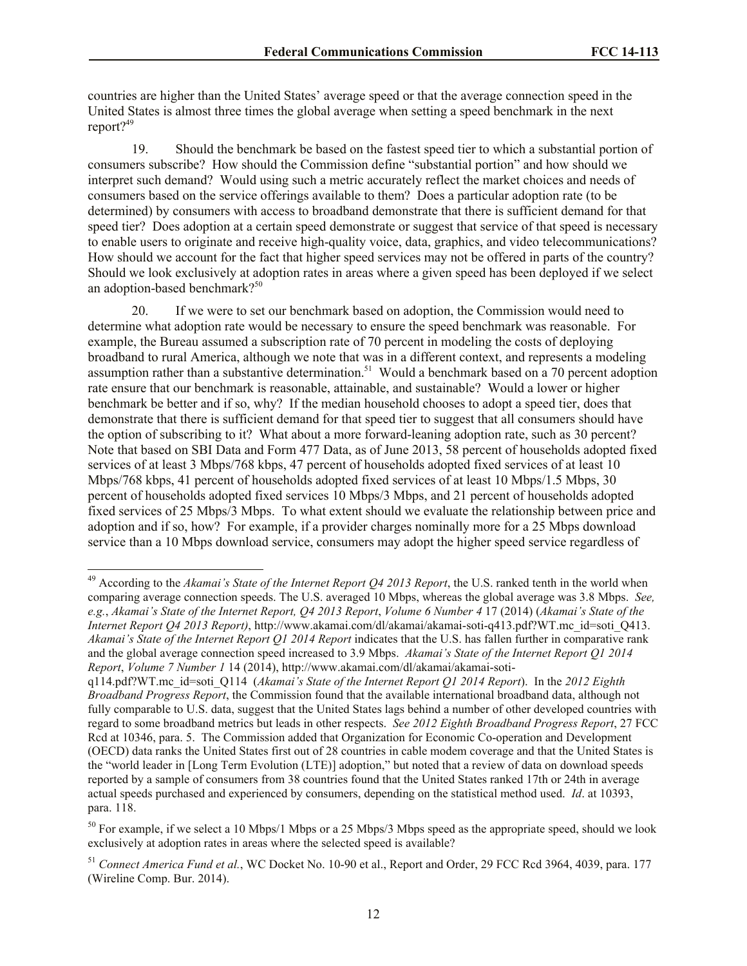countries are higher than the United States' average speed or that the average connection speed in the United States is almost three times the global average when setting a speed benchmark in the next report?<sup>49</sup>

19. Should the benchmark be based on the fastest speed tier to which a substantial portion of consumers subscribe? How should the Commission define "substantial portion" and how should we interpret such demand? Would using such a metric accurately reflect the market choices and needs of consumers based on the service offerings available to them? Does a particular adoption rate (to be determined) by consumers with access to broadband demonstrate that there is sufficient demand for that speed tier? Does adoption at a certain speed demonstrate or suggest that service of that speed is necessary to enable users to originate and receive high-quality voice, data, graphics, and video telecommunications? How should we account for the fact that higher speed services may not be offered in parts of the country? Should we look exclusively at adoption rates in areas where a given speed has been deployed if we select an adoption-based benchmark? 50

20. If we were to set our benchmark based on adoption, the Commission would need to determine what adoption rate would be necessary to ensure the speed benchmark was reasonable. For example, the Bureau assumed a subscription rate of 70 percent in modeling the costs of deploying broadband to rural America, although we note that was in a different context, and represents a modeling assumption rather than a substantive determination.<sup>51</sup> Would a benchmark based on a 70 percent adoption rate ensure that our benchmark is reasonable, attainable, and sustainable? Would a lower or higher benchmark be better and if so, why? If the median household chooses to adopt a speed tier, does that demonstrate that there is sufficient demand for that speed tier to suggest that all consumers should have the option of subscribing to it? What about a more forward-leaning adoption rate, such as 30 percent? Note that based on SBI Data and Form 477 Data, as of June 2013, 58 percent of households adopted fixed services of at least 3 Mbps/768 kbps, 47 percent of households adopted fixed services of at least 10 Mbps/768 kbps, 41 percent of households adopted fixed services of at least 10 Mbps/1.5 Mbps, 30 percent of households adopted fixed services 10 Mbps/3 Mbps, and 21 percent of households adopted fixed services of 25 Mbps/3 Mbps. To what extent should we evaluate the relationship between price and adoption and if so, how? For example, if a provider charges nominally more for a 25 Mbps download service than a 10 Mbps download service, consumers may adopt the higher speed service regardless of

<sup>49</sup> According to the *Akamai's State of the Internet Report Q4 2013 Report*, the U.S. ranked tenth in the world when comparing average connection speeds. The U.S. averaged 10 Mbps, whereas the global average was 3.8 Mbps. *See, e.g.*, *Akamai's State of the Internet Report, Q4 2013 Report*, *Volume 6 Number 4* 17 (2014) (*Akamai's State of the Internet Report Q4 2013 Report)*, http://www.akamai.com/dl/akamai/akamai-soti-q413.pdf?WT.mc\_id=soti\_Q413. *Akamai's State of the Internet Report Q1 2014 Report* indicates that the U.S. has fallen further in comparative rank and the global average connection speed increased to 3.9 Mbps. *Akamai's State of the Internet Report Q1 2014 Report*, *Volume 7 Number 1* 14 (2014), http://www.akamai.com/dl/akamai/akamai-soti-

q114.pdf?WT.mc\_id=soti\_Q114 (*Akamai's State of the Internet Report Q1 2014 Report*). In the *2012 Eighth Broadband Progress Report*, the Commission found that the available international broadband data, although not fully comparable to U.S. data, suggest that the United States lags behind a number of other developed countries with regard to some broadband metrics but leads in other respects. *See 2012 Eighth Broadband Progress Report*, 27 FCC Rcd at 10346, para. 5. The Commission added that Organization for Economic Co-operation and Development (OECD) data ranks the United States first out of 28 countries in cable modem coverage and that the United States is the "world leader in [Long Term Evolution (LTE)] adoption," but noted that a review of data on download speeds reported by a sample of consumers from 38 countries found that the United States ranked 17th or 24th in average actual speeds purchased and experienced by consumers, depending on the statistical method used. *Id*. at 10393, para. 118.

 $50$  For example, if we select a 10 Mbps/1 Mbps or a 25 Mbps/3 Mbps speed as the appropriate speed, should we look exclusively at adoption rates in areas where the selected speed is available?

<sup>51</sup> *Connect America Fund et al.*, WC Docket No. 10-90 et al., Report and Order, 29 FCC Rcd 3964, 4039, para. 177 (Wireline Comp. Bur. 2014).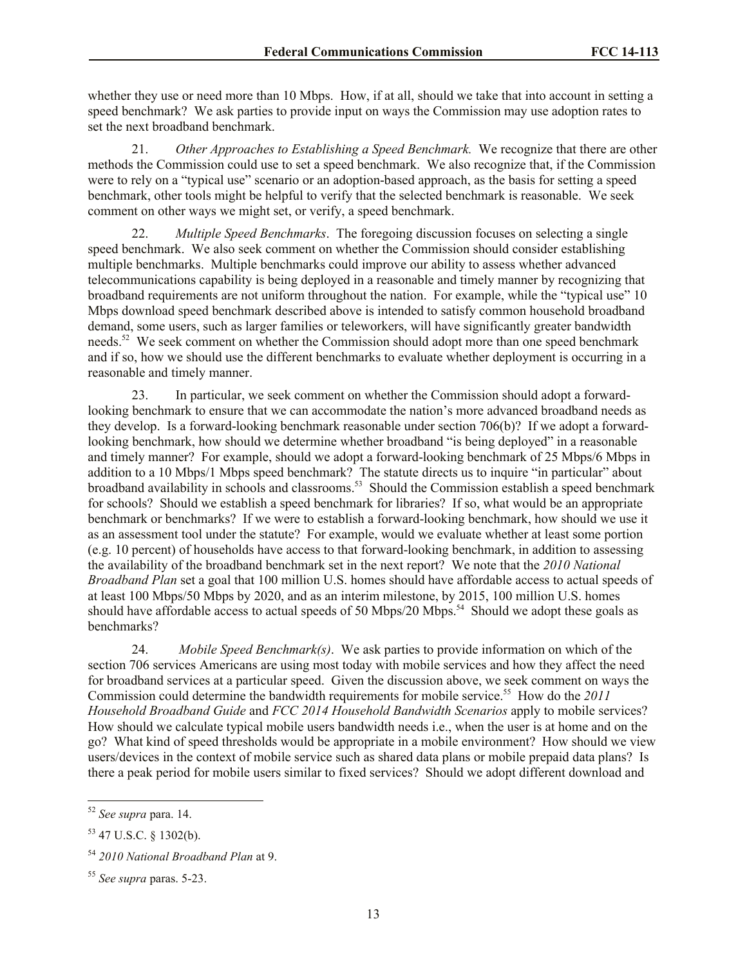whether they use or need more than 10 Mbps. How, if at all, should we take that into account in setting a speed benchmark? We ask parties to provide input on ways the Commission may use adoption rates to set the next broadband benchmark.

21. *Other Approaches to Establishing a Speed Benchmark.* We recognize that there are other methods the Commission could use to set a speed benchmark. We also recognize that, if the Commission were to rely on a "typical use" scenario or an adoption-based approach, as the basis for setting a speed benchmark, other tools might be helpful to verify that the selected benchmark is reasonable. We seek comment on other ways we might set, or verify, a speed benchmark.

22. *Multiple Speed Benchmarks*. The foregoing discussion focuses on selecting a single speed benchmark. We also seek comment on whether the Commission should consider establishing multiple benchmarks. Multiple benchmarks could improve our ability to assess whether advanced telecommunications capability is being deployed in a reasonable and timely manner by recognizing that broadband requirements are not uniform throughout the nation. For example, while the "typical use" 10 Mbps download speed benchmark described above is intended to satisfy common household broadband demand, some users, such as larger families or teleworkers, will have significantly greater bandwidth needs.<sup>52</sup> We seek comment on whether the Commission should adopt more than one speed benchmark and if so, how we should use the different benchmarks to evaluate whether deployment is occurring in a reasonable and timely manner.

23. In particular, we seek comment on whether the Commission should adopt a forwardlooking benchmark to ensure that we can accommodate the nation's more advanced broadband needs as they develop. Is a forward-looking benchmark reasonable under section 706(b)? If we adopt a forwardlooking benchmark, how should we determine whether broadband "is being deployed" in a reasonable and timely manner? For example, should we adopt a forward-looking benchmark of 25 Mbps/6 Mbps in addition to a 10 Mbps/1 Mbps speed benchmark? The statute directs us to inquire "in particular" about broadband availability in schools and classrooms.<sup>53</sup> Should the Commission establish a speed benchmark for schools? Should we establish a speed benchmark for libraries? If so, what would be an appropriate benchmark or benchmarks? If we were to establish a forward-looking benchmark, how should we use it as an assessment tool under the statute? For example, would we evaluate whether at least some portion (e.g. 10 percent) of households have access to that forward-looking benchmark, in addition to assessing the availability of the broadband benchmark set in the next report? We note that the *2010 National Broadband Plan* set a goal that 100 million U.S. homes should have affordable access to actual speeds of at least 100 Mbps/50 Mbps by 2020, and as an interim milestone, by 2015, 100 million U.S. homes should have affordable access to actual speeds of 50 Mbps/20 Mbps.<sup>54</sup> Should we adopt these goals as benchmarks?

24. *Mobile Speed Benchmark(s)*. We ask parties to provide information on which of the section 706 services Americans are using most today with mobile services and how they affect the need for broadband services at a particular speed. Given the discussion above, we seek comment on ways the Commission could determine the bandwidth requirements for mobile service.<sup>55</sup> How do the 2011 *Household Broadband Guide* and *FCC 2014 Household Bandwidth Scenarios* apply to mobile services? How should we calculate typical mobile users bandwidth needs i.e., when the user is at home and on the go? What kind of speed thresholds would be appropriate in a mobile environment? How should we view users/devices in the context of mobile service such as shared data plans or mobile prepaid data plans? Is there a peak period for mobile users similar to fixed services? Should we adopt different download and

<sup>52</sup> *See supra* para. 14.

 $53$  47 U.S.C. § 1302(b).

<sup>54</sup> *2010 National Broadband Plan* at 9.

<sup>55</sup> *See supra* paras. 5-23.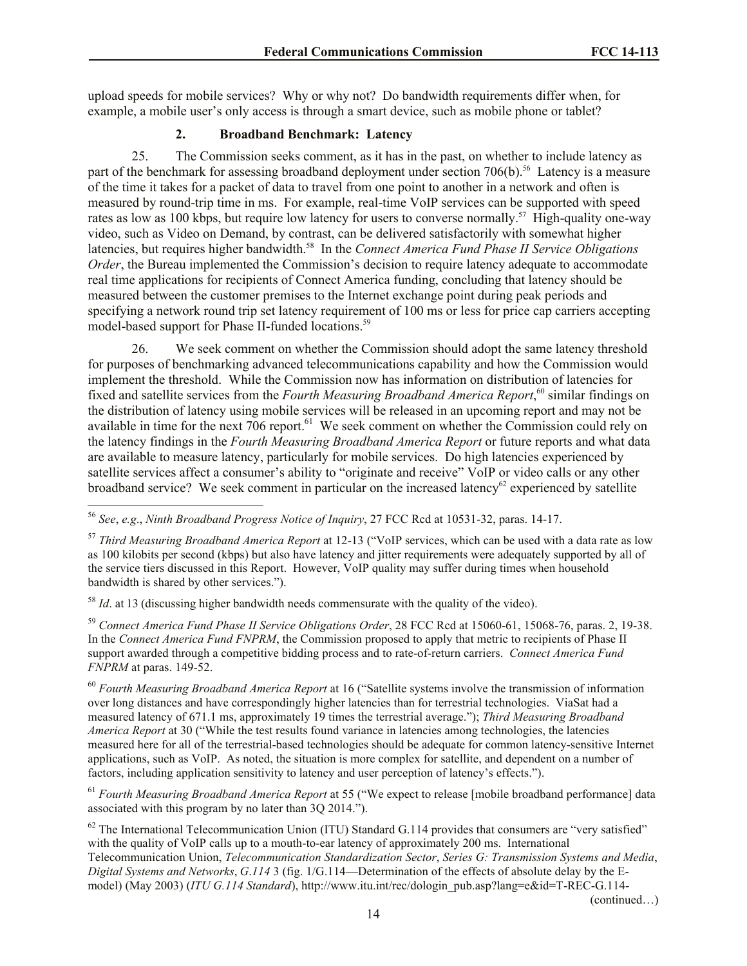upload speeds for mobile services? Why or why not? Do bandwidth requirements differ when, for example, a mobile user's only access is through a smart device, such as mobile phone or tablet?

## **2. Broadband Benchmark: Latency**

25. The Commission seeks comment, as it has in the past, on whether to include latency as part of the benchmark for assessing broadband deployment under section 706(b).<sup>56</sup> Latency is a measure of the time it takes for a packet of data to travel from one point to another in a network and often is measured by round-trip time in ms. For example, real-time VoIP services can be supported with speed rates as low as 100 kbps, but require low latency for users to converse normally.<sup>57</sup> High-quality one-way video, such as Video on Demand, by contrast, can be delivered satisfactorily with somewhat higher latencies, but requires higher bandwidth.<sup>58</sup> In the *Connect America Fund Phase II Service Obligations Order*, the Bureau implemented the Commission's decision to require latency adequate to accommodate real time applications for recipients of Connect America funding, concluding that latency should be measured between the customer premises to the Internet exchange point during peak periods and specifying a network round trip set latency requirement of 100 ms or less for price cap carriers accepting model-based support for Phase II-funded locations. 59

26. We seek comment on whether the Commission should adopt the same latency threshold for purposes of benchmarking advanced telecommunications capability and how the Commission would implement the threshold. While the Commission now has information on distribution of latencies for fixed and satellite services from the *Fourth Measuring Broadband America Report*, <sup>60</sup> similar findings on the distribution of latency using mobile services will be released in an upcoming report and may not be available in time for the next 706 report.<sup>61</sup> We seek comment on whether the Commission could rely on the latency findings in the *Fourth Measuring Broadband America Report* or future reports and what data are available to measure latency, particularly for mobile services. Do high latencies experienced by satellite services affect a consumer's ability to "originate and receive" VoIP or video calls or any other broadband service? We seek comment in particular on the increased latency<sup>62</sup> experienced by satellite

l

<sup>58</sup> *Id.* at 13 (discussing higher bandwidth needs commensurate with the quality of the video).

<sup>59</sup> *Connect America Fund Phase II Service Obligations Order*, 28 FCC Rcd at 15060-61, 15068-76, paras. 2, 19-38. In the *Connect America Fund FNPRM*, the Commission proposed to apply that metric to recipients of Phase II support awarded through a competitive bidding process and to rate-of-return carriers. *Connect America Fund FNPRM* at paras. 149-52.

<sup>60</sup> *Fourth Measuring Broadband America Report* at 16 ("Satellite systems involve the transmission of information over long distances and have correspondingly higher latencies than for terrestrial technologies. ViaSat had a measured latency of 671.1 ms, approximately 19 times the terrestrial average."); *Third Measuring Broadband America Report* at 30 ("While the test results found variance in latencies among technologies, the latencies measured here for all of the terrestrial-based technologies should be adequate for common latency-sensitive Internet applications, such as VoIP. As noted, the situation is more complex for satellite, and dependent on a number of factors, including application sensitivity to latency and user perception of latency's effects.").

<sup>61</sup> *Fourth Measuring Broadband America Report* at 55 ("We expect to release [mobile broadband performance] data associated with this program by no later than 3Q 2014.").

 $62$  The International Telecommunication Union (ITU) Standard G.114 provides that consumers are "very satisfied" with the quality of VoIP calls up to a mouth-to-ear latency of approximately 200 ms. International Telecommunication Union, *Telecommunication Standardization Sector*, *Series G: Transmission Systems and Media*, *Digital Systems and Networks*, *G*.*114* 3 (fig. 1/G.114—Determination of the effects of absolute delay by the Emodel) (May 2003) (*ITU G.114 Standard*), http://www.itu.int/rec/dologin\_pub.asp?lang=e&id=T-REC-G.114-

(continued…)

<sup>56</sup> *See*, *e.g*., *Ninth Broadband Progress Notice of Inquiry*, 27 FCC Rcd at 10531-32, paras. 14-17.

<sup>57</sup> *Third Measuring Broadband America Report* at 12-13 ("VoIP services, which can be used with a data rate as low as 100 kilobits per second (kbps) but also have latency and jitter requirements were adequately supported by all of the service tiers discussed in this Report. However, VoIP quality may suffer during times when household bandwidth is shared by other services.").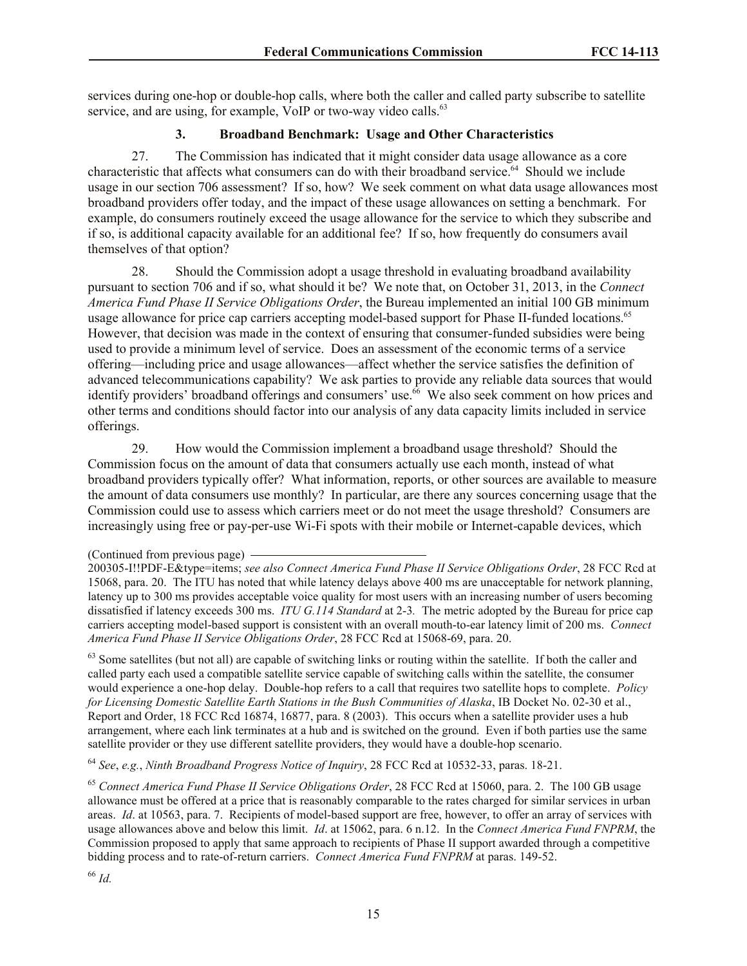services during one-hop or double-hop calls, where both the caller and called party subscribe to satellite service, and are using, for example, VoIP or two-way video calls.<sup>63</sup>

# **3. Broadband Benchmark: Usage and Other Characteristics**

27. The Commission has indicated that it might consider data usage allowance as a core characteristic that affects what consumers can do with their broadband service.<sup>64</sup> Should we include usage in our section 706 assessment? If so, how? We seek comment on what data usage allowances most broadband providers offer today, and the impact of these usage allowances on setting a benchmark. For example, do consumers routinely exceed the usage allowance for the service to which they subscribe and if so, is additional capacity available for an additional fee? If so, how frequently do consumers avail themselves of that option?

28. Should the Commission adopt a usage threshold in evaluating broadband availability pursuant to section 706 and if so, what should it be? We note that, on October 31, 2013, in the *Connect America Fund Phase II Service Obligations Order*, the Bureau implemented an initial 100 GB minimum usage allowance for price cap carriers accepting model-based support for Phase II-funded locations.<sup>65</sup> However, that decision was made in the context of ensuring that consumer-funded subsidies were being used to provide a minimum level of service. Does an assessment of the economic terms of a service offering—including price and usage allowances—affect whether the service satisfies the definition of advanced telecommunications capability? We ask parties to provide any reliable data sources that would identify providers' broadband offerings and consumers' use.<sup>66</sup> We also seek comment on how prices and other terms and conditions should factor into our analysis of any data capacity limits included in service offerings.

29. How would the Commission implement a broadband usage threshold? Should the Commission focus on the amount of data that consumers actually use each month, instead of what broadband providers typically offer? What information, reports, or other sources are available to measure the amount of data consumers use monthly? In particular, are there any sources concerning usage that the Commission could use to assess which carriers meet or do not meet the usage threshold? Consumers are increasingly using free or pay-per-use Wi-Fi spots with their mobile or Internet-capable devices, which

 $63$  Some satellites (but not all) are capable of switching links or routing within the satellite. If both the caller and called party each used a compatible satellite service capable of switching calls within the satellite, the consumer would experience a one-hop delay. Double-hop refers to a call that requires two satellite hops to complete. *Policy for Licensing Domestic Satellite Earth Stations in the Bush Communities of Alaska*, IB Docket No. 02-30 et al., Report and Order, 18 FCC Rcd 16874, 16877, para. 8 (2003). This occurs when a satellite provider uses a hub arrangement, where each link terminates at a hub and is switched on the ground. Even if both parties use the same satellite provider or they use different satellite providers, they would have a double-hop scenario.

<sup>64</sup> *See*, *e.g.*, *Ninth Broadband Progress Notice of Inquiry*, 28 FCC Rcd at 10532-33, paras. 18-21.

<sup>65</sup> *Connect America Fund Phase II Service Obligations Order*, 28 FCC Rcd at 15060, para. 2. The 100 GB usage allowance must be offered at a price that is reasonably comparable to the rates charged for similar services in urban areas. *Id*. at 10563, para. 7. Recipients of model-based support are free, however, to offer an array of services with usage allowances above and below this limit. *Id*. at 15062, para. 6 n.12. In the *Connect America Fund FNPRM*, the Commission proposed to apply that same approach to recipients of Phase II support awarded through a competitive bidding process and to rate-of-return carriers. *Connect America Fund FNPRM* at paras. 149-52.

<sup>(</sup>Continued from previous page)

<sup>200305-</sup>I!!PDF-E&type=items; *see also Connect America Fund Phase II Service Obligations Order*, 28 FCC Rcd at 15068, para. 20. The ITU has noted that while latency delays above 400 ms are unacceptable for network planning, latency up to 300 ms provides acceptable voice quality for most users with an increasing number of users becoming dissatisfied if latency exceeds 300 ms. *ITU G.114 Standard* at 2-3*.* The metric adopted by the Bureau for price cap carriers accepting model-based support is consistent with an overall mouth-to-ear latency limit of 200 ms. *Connect America Fund Phase II Service Obligations Order*, 28 FCC Rcd at 15068-69, para. 20.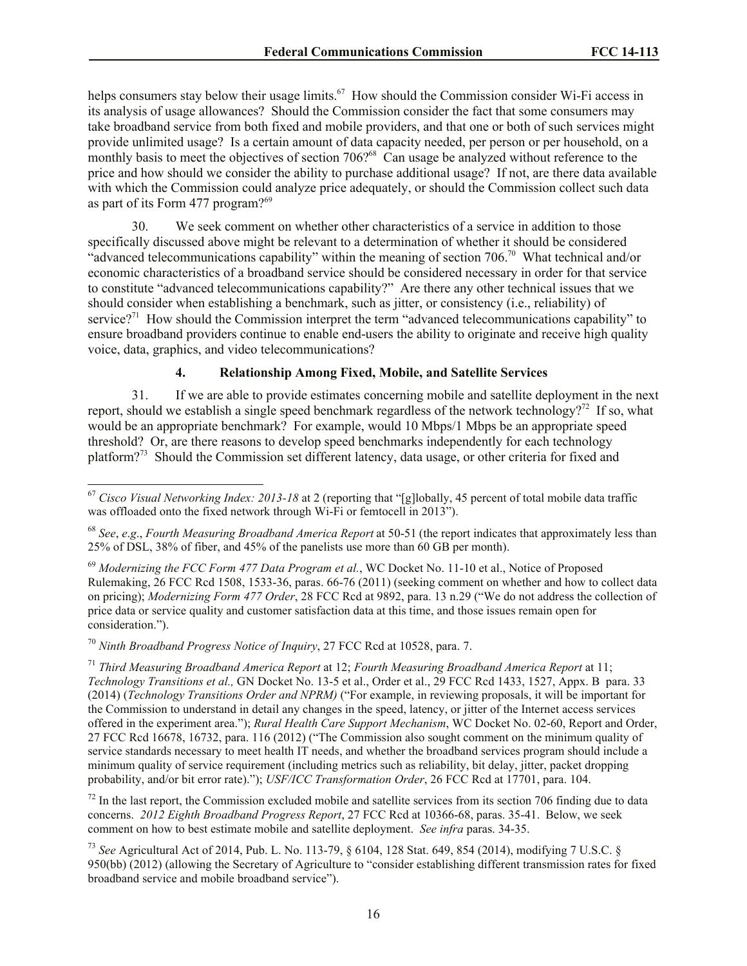helps consumers stay below their usage limits.<sup>67</sup> How should the Commission consider Wi-Fi access in its analysis of usage allowances? Should the Commission consider the fact that some consumers may take broadband service from both fixed and mobile providers, and that one or both of such services might provide unlimited usage? Is a certain amount of data capacity needed, per person or per household, on a monthly basis to meet the objectives of section 706?<sup>68</sup> Can usage be analyzed without reference to the price and how should we consider the ability to purchase additional usage? If not, are there data available with which the Commission could analyze price adequately, or should the Commission collect such data as part of its Form 477 program?<sup>69</sup>

30. We seek comment on whether other characteristics of a service in addition to those specifically discussed above might be relevant to a determination of whether it should be considered "advanced telecommunications capability" within the meaning of section 706.<sup>70</sup> What technical and/or economic characteristics of a broadband service should be considered necessary in order for that service to constitute "advanced telecommunications capability?" Are there any other technical issues that we should consider when establishing a benchmark, such as jitter, or consistency (i.e., reliability) of service?<sup>71</sup> How should the Commission interpret the term "advanced telecommunications capability" to ensure broadband providers continue to enable end-users the ability to originate and receive high quality voice, data, graphics, and video telecommunications?

## **4. Relationship Among Fixed, Mobile, and Satellite Services**

31. If we are able to provide estimates concerning mobile and satellite deployment in the next report, should we establish a single speed benchmark regardless of the network technology?<sup>72</sup> If so, what would be an appropriate benchmark? For example, would 10 Mbps/1 Mbps be an appropriate speed threshold? Or, are there reasons to develop speed benchmarks independently for each technology platform?<sup>73</sup> Should the Commission set different latency, data usage, or other criteria for fixed and

<sup>70</sup> *Ninth Broadband Progress Notice of Inquiry*, 27 FCC Rcd at 10528, para. 7.

l <sup>67</sup> *Cisco Visual Networking Index: 2013-18* at 2 (reporting that "[g]lobally, 45 percent of total mobile data traffic was offloaded onto the fixed network through Wi-Fi or femtocell in 2013").

<sup>68</sup> *See*, *e*.*g*., *Fourth Measuring Broadband America Report* at 50-51 (the report indicates that approximately less than 25% of DSL, 38% of fiber, and 45% of the panelists use more than 60 GB per month).

<sup>69</sup> *Modernizing the FCC Form 477 Data Program et al.*, WC Docket No. 11-10 et al., Notice of Proposed Rulemaking, 26 FCC Rcd 1508, 1533-36, paras. 66-76 (2011) (seeking comment on whether and how to collect data on pricing); *Modernizing Form 477 Order*, 28 FCC Rcd at 9892, para. 13 n.29 ("We do not address the collection of price data or service quality and customer satisfaction data at this time, and those issues remain open for consideration.").

<sup>71</sup> *Third Measuring Broadband America Report* at 12; *Fourth Measuring Broadband America Report* at 11; *Technology Transitions et al.,* GN Docket No. 13-5 et al., Order et al., 29 FCC Rcd 1433, 1527, Appx. B para. 33 (2014) (*Technology Transitions Order and NPRM)* ("For example, in reviewing proposals, it will be important for the Commission to understand in detail any changes in the speed, latency, or jitter of the Internet access services offered in the experiment area."); *Rural Health Care Support Mechanism*, WC Docket No. 02-60, Report and Order, 27 FCC Rcd 16678, 16732, para. 116 (2012) ("The Commission also sought comment on the minimum quality of service standards necessary to meet health IT needs, and whether the broadband services program should include a minimum quality of service requirement (including metrics such as reliability, bit delay, jitter, packet dropping probability, and/or bit error rate)."); *USF/ICC Transformation Order*, 26 FCC Rcd at 17701, para. 104.

 $72$  In the last report, the Commission excluded mobile and satellite services from its section 706 finding due to data concerns. *2012 Eighth Broadband Progress Report*, 27 FCC Rcd at 10366-68, paras. 35-41. Below, we seek comment on how to best estimate mobile and satellite deployment. *See infra* paras. 34-35.

<sup>73</sup> *See* Agricultural Act of 2014, Pub. L. No. 113-79, § 6104, 128 Stat. 649, 854 (2014), modifying 7 U.S.C. § 950(bb) (2012) (allowing the Secretary of Agriculture to "consider establishing different transmission rates for fixed broadband service and mobile broadband service").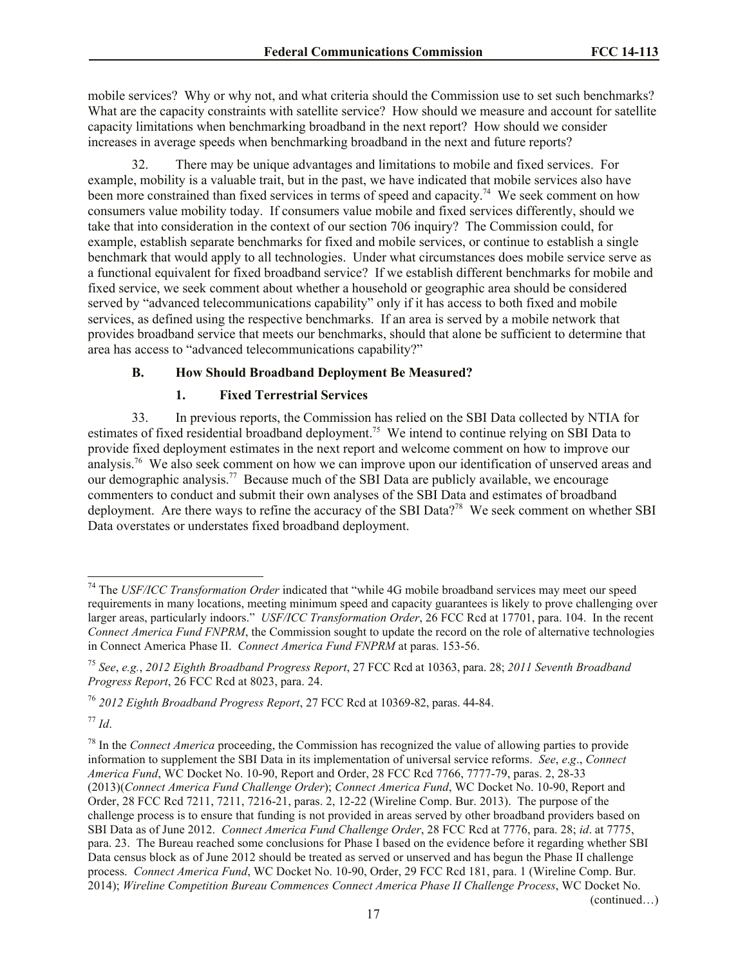mobile services? Why or why not, and what criteria should the Commission use to set such benchmarks? What are the capacity constraints with satellite service? How should we measure and account for satellite capacity limitations when benchmarking broadband in the next report? How should we consider increases in average speeds when benchmarking broadband in the next and future reports?

32. There may be unique advantages and limitations to mobile and fixed services. For example, mobility is a valuable trait, but in the past, we have indicated that mobile services also have been more constrained than fixed services in terms of speed and capacity.<sup>74</sup> We seek comment on how consumers value mobility today. If consumers value mobile and fixed services differently, should we take that into consideration in the context of our section 706 inquiry? The Commission could, for example, establish separate benchmarks for fixed and mobile services, or continue to establish a single benchmark that would apply to all technologies. Under what circumstances does mobile service serve as a functional equivalent for fixed broadband service? If we establish different benchmarks for mobile and fixed service, we seek comment about whether a household or geographic area should be considered served by "advanced telecommunications capability" only if it has access to both fixed and mobile services, as defined using the respective benchmarks. If an area is served by a mobile network that provides broadband service that meets our benchmarks, should that alone be sufficient to determine that area has access to "advanced telecommunications capability?"

# **B. How Should Broadband Deployment Be Measured?**

# **1. Fixed Terrestrial Services**

33. In previous reports, the Commission has relied on the SBI Data collected by NTIA for estimates of fixed residential broadband deployment.<sup>75</sup> We intend to continue relying on SBI Data to provide fixed deployment estimates in the next report and welcome comment on how to improve our analysis.<sup>76</sup> We also seek comment on how we can improve upon our identification of unserved areas and our demographic analysis.<sup>77</sup> Because much of the SBI Data are publicly available, we encourage commenters to conduct and submit their own analyses of the SBI Data and estimates of broadband deployment. Are there ways to refine the accuracy of the SBI Data?<sup>78</sup> We seek comment on whether SBI Data overstates or understates fixed broadband deployment.

<sup>77</sup> *Id*.

l <sup>74</sup> The *USF/ICC Transformation Order* indicated that "while 4G mobile broadband services may meet our speed requirements in many locations, meeting minimum speed and capacity guarantees is likely to prove challenging over larger areas, particularly indoors." *USF/ICC Transformation Order*, 26 FCC Rcd at 17701, para. 104. In the recent *Connect America Fund FNPRM*, the Commission sought to update the record on the role of alternative technologies in Connect America Phase II. *Connect America Fund FNPRM* at paras. 153-56.

<sup>75</sup> *See*, *e.g.*, *2012 Eighth Broadband Progress Report*, 27 FCC Rcd at 10363, para. 28; *2011 Seventh Broadband Progress Report*, 26 FCC Rcd at 8023, para. 24.

<sup>76</sup> *2012 Eighth Broadband Progress Report*, 27 FCC Rcd at 10369-82, paras. 44-84.

<sup>&</sup>lt;sup>78</sup> In the *Connect America* proceeding, the Commission has recognized the value of allowing parties to provide information to supplement the SBI Data in its implementation of universal service reforms. *See*, *e*.*g*., *Connect America Fund*, WC Docket No. 10-90, Report and Order, 28 FCC Rcd 7766, 7777-79, paras. 2, 28-33 (2013)(*Connect America Fund Challenge Order*); *Connect America Fund*, WC Docket No. 10-90, Report and Order, 28 FCC Rcd 7211, 7211, 7216-21, paras. 2, 12-22 (Wireline Comp. Bur. 2013). The purpose of the challenge process is to ensure that funding is not provided in areas served by other broadband providers based on SBI Data as of June 2012. *Connect America Fund Challenge Order*, 28 FCC Rcd at 7776, para. 28; *id*. at 7775, para. 23. The Bureau reached some conclusions for Phase I based on the evidence before it regarding whether SBI Data census block as of June 2012 should be treated as served or unserved and has begun the Phase II challenge process. *Connect America Fund*, WC Docket No. 10-90, Order, 29 FCC Rcd 181, para. 1 (Wireline Comp. Bur. 2014); *Wireline Competition Bureau Commences Connect America Phase II Challenge Process*, WC Docket No.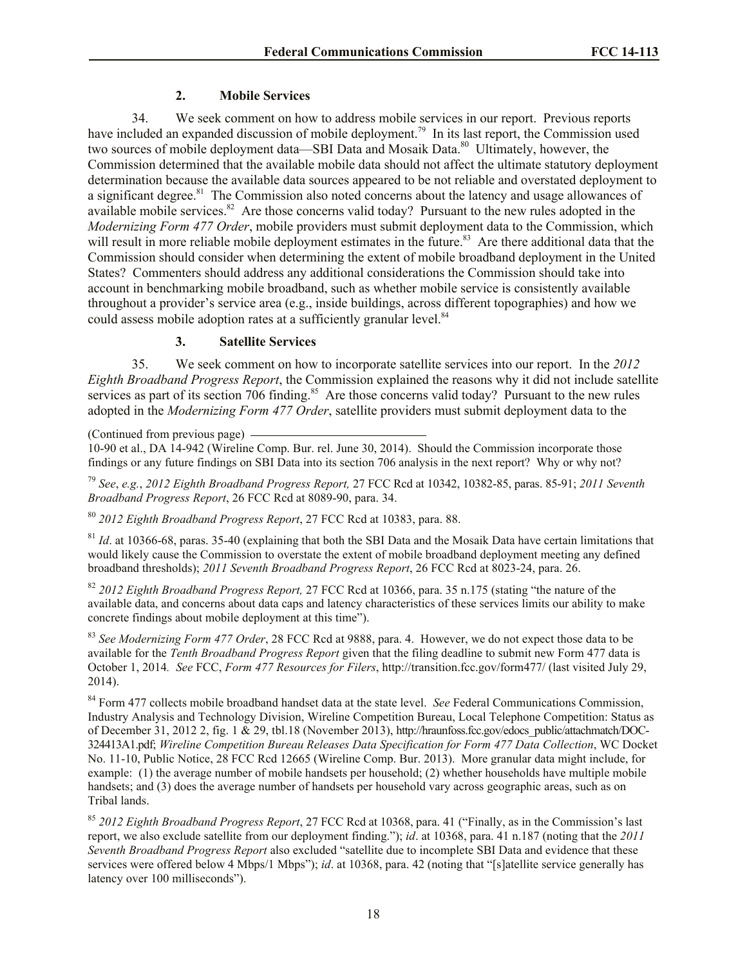# **2. Mobile Services**

34. We seek comment on how to address mobile services in our report. Previous reports have included an expanded discussion of mobile deployment.<sup>79</sup> In its last report, the Commission used two sources of mobile deployment data—SBI Data and Mosaik Data.<sup>80</sup> Ultimately, however, the Commission determined that the available mobile data should not affect the ultimate statutory deployment determination because the available data sources appeared to be not reliable and overstated deployment to a significant degree.<sup>81</sup> The Commission also noted concerns about the latency and usage allowances of available mobile services.<sup>82</sup> Are those concerns valid today? Pursuant to the new rules adopted in the *Modernizing Form 477 Order*, mobile providers must submit deployment data to the Commission, which will result in more reliable mobile deployment estimates in the future.<sup>83</sup> Are there additional data that the Commission should consider when determining the extent of mobile broadband deployment in the United States? Commenters should address any additional considerations the Commission should take into account in benchmarking mobile broadband, such as whether mobile service is consistently available throughout a provider's service area (e.g., inside buildings, across different topographies) and how we could assess mobile adoption rates at a sufficiently granular level.<sup>84</sup>

# **3. Satellite Services**

35. We seek comment on how to incorporate satellite services into our report. In the *2012 Eighth Broadband Progress Report*, the Commission explained the reasons why it did not include satellite services as part of its section 706 finding.<sup>85</sup> Are those concerns valid today? Pursuant to the new rules adopted in the *Modernizing Form 477 Order*, satellite providers must submit deployment data to the

(Continued from previous page)

10-90 et al., DA 14-942 (Wireline Comp. Bur. rel. June 30, 2014). Should the Commission incorporate those findings or any future findings on SBI Data into its section 706 analysis in the next report? Why or why not?

<sup>79</sup> *See*, *e.g.*, *2012 Eighth Broadband Progress Report,* 27 FCC Rcd at 10342, 10382-85, paras. 85-91; *2011 Seventh Broadband Progress Report*, 26 FCC Rcd at 8089-90, para. 34.

<sup>80</sup> *2012 Eighth Broadband Progress Report*, 27 FCC Rcd at 10383, para. 88.

<sup>81</sup> *Id.* at 10366-68, paras. 35-40 (explaining that both the SBI Data and the Mosaik Data have certain limitations that would likely cause the Commission to overstate the extent of mobile broadband deployment meeting any defined broadband thresholds); *2011 Seventh Broadband Progress Report*, 26 FCC Rcd at 8023-24, para. 26.

<sup>82</sup> *2012 Eighth Broadband Progress Report,* 27 FCC Rcd at 10366, para. 35 n.175 (stating "the nature of the available data, and concerns about data caps and latency characteristics of these services limits our ability to make concrete findings about mobile deployment at this time").

<sup>83</sup> *See Modernizing Form 477 Order*, 28 FCC Rcd at 9888, para. 4. However, we do not expect those data to be available for the *Tenth Broadband Progress Report* given that the filing deadline to submit new Form 477 data is October 1, 2014*. See* FCC, *Form 477 Resources for Filers*, http://transition.fcc.gov/form477/ (last visited July 29, 2014).

<sup>84</sup> Form 477 collects mobile broadband handset data at the state level. *See* Federal Communications Commission, Industry Analysis and Technology Division, Wireline Competition Bureau, Local Telephone Competition: Status as of December 31, 2012 2, fig. 1 & 29, tbl.18 (November 2013), http://hraunfoss.fcc.gov/edocs\_public/attachmatch/DOC-324413A1.pdf; *Wireline Competition Bureau Releases Data Specification for Form 477 Data Collection*, WC Docket No. 11-10, Public Notice, 28 FCC Rcd 12665 (Wireline Comp. Bur. 2013). More granular data might include, for example: (1) the average number of mobile handsets per household; (2) whether households have multiple mobile handsets; and (3) does the average number of handsets per household vary across geographic areas, such as on Tribal lands.

<sup>85</sup> *2012 Eighth Broadband Progress Report*, 27 FCC Rcd at 10368, para. 41 ("Finally, as in the Commission's last report, we also exclude satellite from our deployment finding."); *id*. at 10368, para. 41 n.187 (noting that the *2011 Seventh Broadband Progress Report* also excluded "satellite due to incomplete SBI Data and evidence that these services were offered below 4 Mbps/1 Mbps"); *id*. at 10368, para. 42 (noting that "[s]atellite service generally has latency over 100 milliseconds").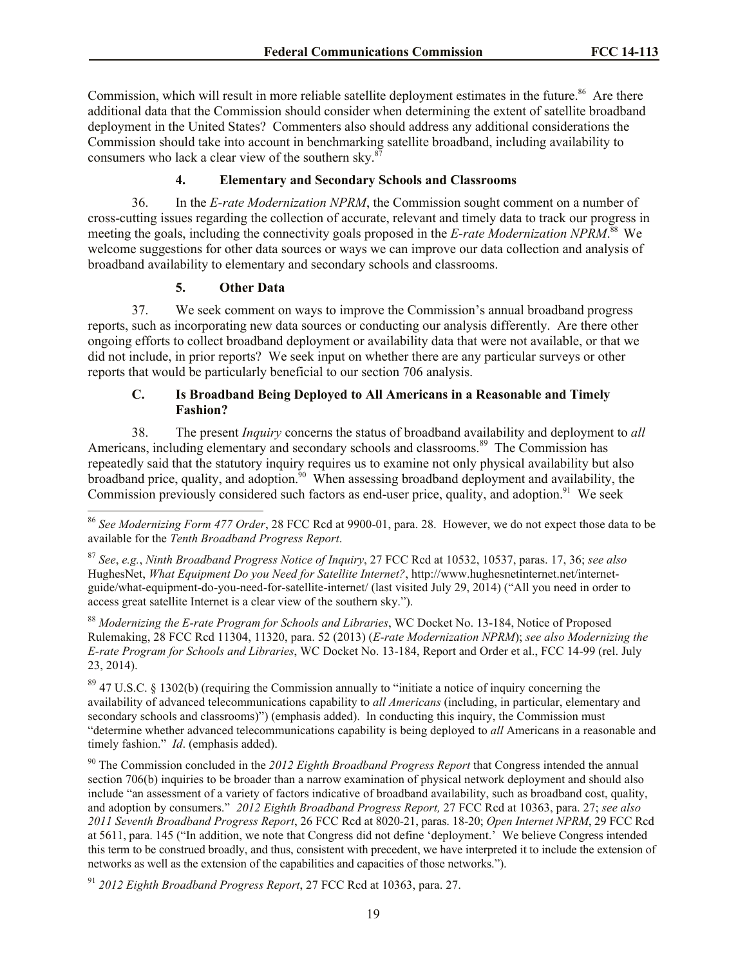Commission, which will result in more reliable satellite deployment estimates in the future.<sup>86</sup> Are there additional data that the Commission should consider when determining the extent of satellite broadband deployment in the United States? Commenters also should address any additional considerations the Commission should take into account in benchmarking satellite broadband, including availability to consumers who lack a clear view of the southern sky.<sup>87</sup>

## **4. Elementary and Secondary Schools and Classrooms**

36. In the *E-rate Modernization NPRM*, the Commission sought comment on a number of cross-cutting issues regarding the collection of accurate, relevant and timely data to track our progress in meeting the goals, including the connectivity goals proposed in the *E-rate Modernization NPRM*. <sup>88</sup> We welcome suggestions for other data sources or ways we can improve our data collection and analysis of broadband availability to elementary and secondary schools and classrooms.

#### **5. Other Data**

l

37. We seek comment on ways to improve the Commission's annual broadband progress reports, such as incorporating new data sources or conducting our analysis differently. Are there other ongoing efforts to collect broadband deployment or availability data that were not available, or that we did not include, in prior reports? We seek input on whether there are any particular surveys or other reports that would be particularly beneficial to our section 706 analysis.

## **C. Is Broadband Being Deployed to All Americans in a Reasonable and Timely Fashion?**

38. The present *Inquiry* concerns the status of broadband availability and deployment to *all* Americans, including elementary and secondary schools and classrooms.<sup>89</sup> The Commission has repeatedly said that the statutory inquiry requires us to examine not only physical availability but also broadband price, quality, and adoption.<sup>90</sup> When assessing broadband deployment and availability, the Commission previously considered such factors as end-user price, quality, and adoption.<sup>91</sup> We seek

<sup>88</sup> *Modernizing the E-rate Program for Schools and Libraries*, WC Docket No. 13-184, Notice of Proposed Rulemaking, 28 FCC Rcd 11304, 11320, para. 52 (2013) (*E-rate Modernization NPRM*); *see also Modernizing the E-rate Program for Schools and Libraries*, WC Docket No. 13-184, Report and Order et al., FCC 14-99 (rel. July 23, 2014).

<sup>89</sup> 47 U.S.C. § 1302(b) (requiring the Commission annually to "initiate a notice of inquiry concerning the availability of advanced telecommunications capability to *all Americans* (including, in particular, elementary and secondary schools and classrooms)") (emphasis added). In conducting this inquiry, the Commission must "determine whether advanced telecommunications capability is being deployed to *all* Americans in a reasonable and timely fashion." *Id*. (emphasis added).

<sup>90</sup> The Commission concluded in the *2012 Eighth Broadband Progress Report* that Congress intended the annual section 706(b) inquiries to be broader than a narrow examination of physical network deployment and should also include "an assessment of a variety of factors indicative of broadband availability, such as broadband cost, quality, and adoption by consumers." *2012 Eighth Broadband Progress Report,* 27 FCC Rcd at 10363, para. 27; *see also 2011 Seventh Broadband Progress Report*, 26 FCC Rcd at 8020-21, paras. 18-20; *Open Internet NPRM*, 29 FCC Rcd at 5611, para. 145 ("In addition, we note that Congress did not define 'deployment.' We believe Congress intended this term to be construed broadly, and thus, consistent with precedent, we have interpreted it to include the extension of networks as well as the extension of the capabilities and capacities of those networks.").

<sup>91</sup> *2012 Eighth Broadband Progress Report*, 27 FCC Rcd at 10363, para. 27.

<sup>86</sup> *See Modernizing Form 477 Order*, 28 FCC Rcd at 9900-01, para. 28. However, we do not expect those data to be available for the *Tenth Broadband Progress Report*.

<sup>87</sup> *See*, *e.g.*, *Ninth Broadband Progress Notice of Inquiry*, 27 FCC Rcd at 10532, 10537, paras. 17, 36; *see also*  HughesNet, *What Equipment Do you Need for Satellite Internet?*, http://www.hughesnetinternet.net/internetguide/what-equipment-do-you-need-for-satellite-internet/ (last visited July 29, 2014) ("All you need in order to access great satellite Internet is a clear view of the southern sky.").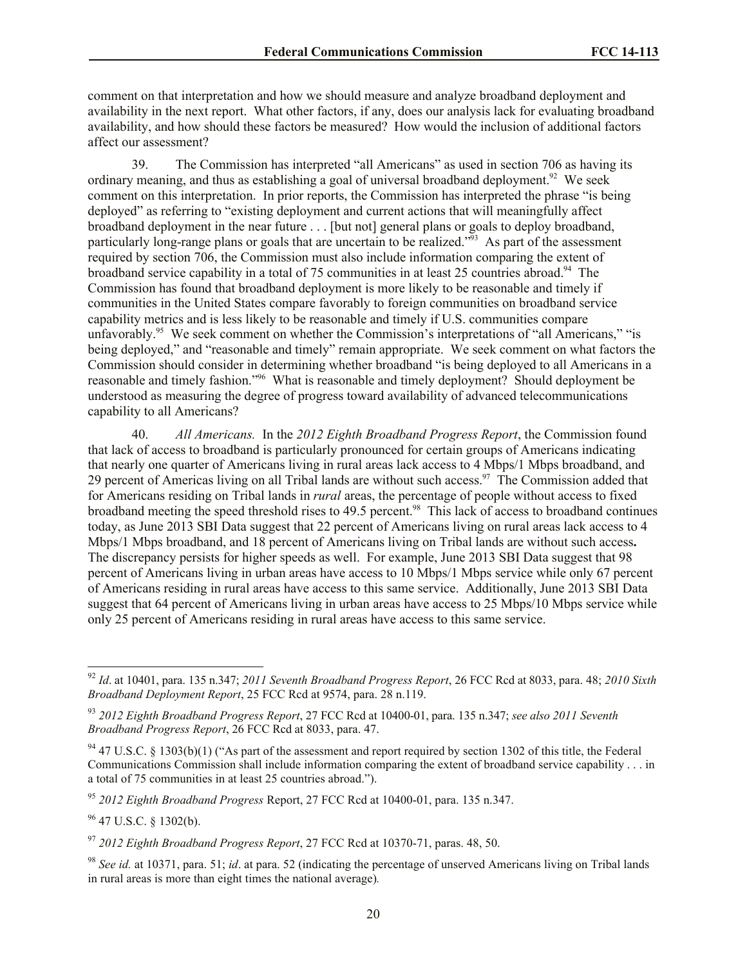comment on that interpretation and how we should measure and analyze broadband deployment and availability in the next report. What other factors, if any, does our analysis lack for evaluating broadband availability, and how should these factors be measured? How would the inclusion of additional factors affect our assessment?

39. The Commission has interpreted "all Americans" as used in section 706 as having its ordinary meaning, and thus as establishing a goal of universal broadband deployment.<sup>92</sup> We seek comment on this interpretation. In prior reports, the Commission has interpreted the phrase "is being deployed" as referring to "existing deployment and current actions that will meaningfully affect broadband deployment in the near future . . . [but not] general plans or goals to deploy broadband, particularly long-range plans or goals that are uncertain to be realized."<sup>93</sup> As part of the assessment required by section 706, the Commission must also include information comparing the extent of broadband service capability in a total of 75 communities in at least 25 countries abroad.<sup>94</sup> The Commission has found that broadband deployment is more likely to be reasonable and timely if communities in the United States compare favorably to foreign communities on broadband service capability metrics and is less likely to be reasonable and timely if U.S. communities compare unfavorably.<sup>95</sup> We seek comment on whether the Commission's interpretations of "all Americans," "is being deployed," and "reasonable and timely" remain appropriate. We seek comment on what factors the Commission should consider in determining whether broadband "is being deployed to all Americans in a reasonable and timely fashion."<sup>96</sup> What is reasonable and timely deployment? Should deployment be understood as measuring the degree of progress toward availability of advanced telecommunications capability to all Americans?

40. *All Americans.* In the *2012 Eighth Broadband Progress Report*, the Commission found that lack of access to broadband is particularly pronounced for certain groups of Americans indicating that nearly one quarter of Americans living in rural areas lack access to 4 Mbps/1 Mbps broadband, and 29 percent of Americas living on all Tribal lands are without such access.<sup>97</sup> The Commission added that for Americans residing on Tribal lands in *rural* areas, the percentage of people without access to fixed broadband meeting the speed threshold rises to 49.5 percent. 98 This lack of access to broadband continues today, as June 2013 SBI Data suggest that 22 percent of Americans living on rural areas lack access to 4 Mbps/1 Mbps broadband, and 18 percent of Americans living on Tribal lands are without such access**.**  The discrepancy persists for higher speeds as well. For example, June 2013 SBI Data suggest that 98 percent of Americans living in urban areas have access to 10 Mbps/1 Mbps service while only 67 percent of Americans residing in rural areas have access to this same service. Additionally, June 2013 SBI Data suggest that 64 percent of Americans living in urban areas have access to 25 Mbps/10 Mbps service while only 25 percent of Americans residing in rural areas have access to this same service.

 $\overline{a}$ 

<sup>92</sup> *Id*. at 10401, para. 135 n.347; *2011 Seventh Broadband Progress Report*, 26 FCC Rcd at 8033, para. 48; *2010 Sixth Broadband Deployment Report*, 25 FCC Rcd at 9574, para. 28 n.119.

<sup>93</sup> *2012 Eighth Broadband Progress Report*, 27 FCC Rcd at 10400-01, para. 135 n.347; *see also 2011 Seventh Broadband Progress Report*, 26 FCC Rcd at 8033, para. 47.

 $94$  47 U.S.C. § 1303(b)(1) ("As part of the assessment and report required by section 1302 of this title, the Federal Communications Commission shall include information comparing the extent of broadband service capability . . . in a total of 75 communities in at least 25 countries abroad.").

<sup>95</sup> *2012 Eighth Broadband Progress* Report, 27 FCC Rcd at 10400-01, para. 135 n.347.

<sup>96</sup> 47 U.S.C. § 1302(b).

<sup>97</sup> *2012 Eighth Broadband Progress Report*, 27 FCC Rcd at 10370-71, paras. 48, 50.

<sup>98</sup> *See id.* at 10371, para. 51; *id*. at para. 52 (indicating the percentage of unserved Americans living on Tribal lands in rural areas is more than eight times the national average)*.*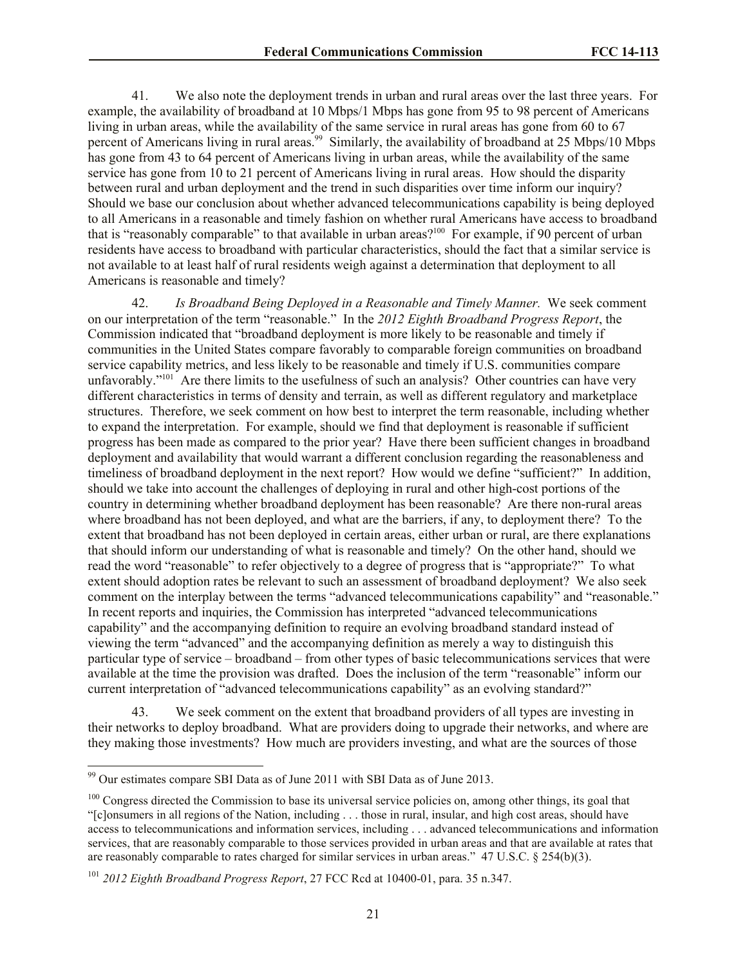41. We also note the deployment trends in urban and rural areas over the last three years. For example, the availability of broadband at 10 Mbps/1 Mbps has gone from 95 to 98 percent of Americans living in urban areas, while the availability of the same service in rural areas has gone from 60 to 67 percent of Americans living in rural areas.<sup>99</sup> Similarly, the availability of broadband at 25 Mbps/10 Mbps has gone from 43 to 64 percent of Americans living in urban areas, while the availability of the same service has gone from 10 to 21 percent of Americans living in rural areas. How should the disparity between rural and urban deployment and the trend in such disparities over time inform our inquiry? Should we base our conclusion about whether advanced telecommunications capability is being deployed to all Americans in a reasonable and timely fashion on whether rural Americans have access to broadband that is "reasonably comparable" to that available in urban areas?<sup>100</sup> For example, if 90 percent of urban residents have access to broadband with particular characteristics, should the fact that a similar service is not available to at least half of rural residents weigh against a determination that deployment to all Americans is reasonable and timely?

42. *Is Broadband Being Deployed in a Reasonable and Timely Manner.* We seek comment on our interpretation of the term "reasonable." In the *2012 Eighth Broadband Progress Report*, the Commission indicated that "broadband deployment is more likely to be reasonable and timely if communities in the United States compare favorably to comparable foreign communities on broadband service capability metrics, and less likely to be reasonable and timely if U.S. communities compare unfavorably."<sup>101</sup> Are there limits to the usefulness of such an analysis? Other countries can have very different characteristics in terms of density and terrain, as well as different regulatory and marketplace structures. Therefore, we seek comment on how best to interpret the term reasonable, including whether to expand the interpretation. For example, should we find that deployment is reasonable if sufficient progress has been made as compared to the prior year? Have there been sufficient changes in broadband deployment and availability that would warrant a different conclusion regarding the reasonableness and timeliness of broadband deployment in the next report? How would we define "sufficient?" In addition, should we take into account the challenges of deploying in rural and other high-cost portions of the country in determining whether broadband deployment has been reasonable? Are there non-rural areas where broadband has not been deployed, and what are the barriers, if any, to deployment there? To the extent that broadband has not been deployed in certain areas, either urban or rural, are there explanations that should inform our understanding of what is reasonable and timely? On the other hand, should we read the word "reasonable" to refer objectively to a degree of progress that is "appropriate?" To what extent should adoption rates be relevant to such an assessment of broadband deployment? We also seek comment on the interplay between the terms "advanced telecommunications capability" and "reasonable." In recent reports and inquiries, the Commission has interpreted "advanced telecommunications capability" and the accompanying definition to require an evolving broadband standard instead of viewing the term "advanced" and the accompanying definition as merely a way to distinguish this particular type of service – broadband – from other types of basic telecommunications services that were available at the time the provision was drafted. Does the inclusion of the term "reasonable" inform our current interpretation of "advanced telecommunications capability" as an evolving standard?"

43. We seek comment on the extent that broadband providers of all types are investing in their networks to deploy broadband. What are providers doing to upgrade their networks, and where are they making those investments? How much are providers investing, and what are the sources of those

<sup>&</sup>lt;sup>99</sup> Our estimates compare SBI Data as of June 2011 with SBI Data as of June 2013.

<sup>&</sup>lt;sup>100</sup> Congress directed the Commission to base its universal service policies on, among other things, its goal that "[c]onsumers in all regions of the Nation, including . . . those in rural, insular, and high cost areas, should have access to telecommunications and information services, including . . . advanced telecommunications and information services, that are reasonably comparable to those services provided in urban areas and that are available at rates that are reasonably comparable to rates charged for similar services in urban areas." 47 U.S.C. § 254(b)(3).

<sup>101</sup> *2012 Eighth Broadband Progress Report*, 27 FCC Rcd at 10400-01, para. 35 n.347.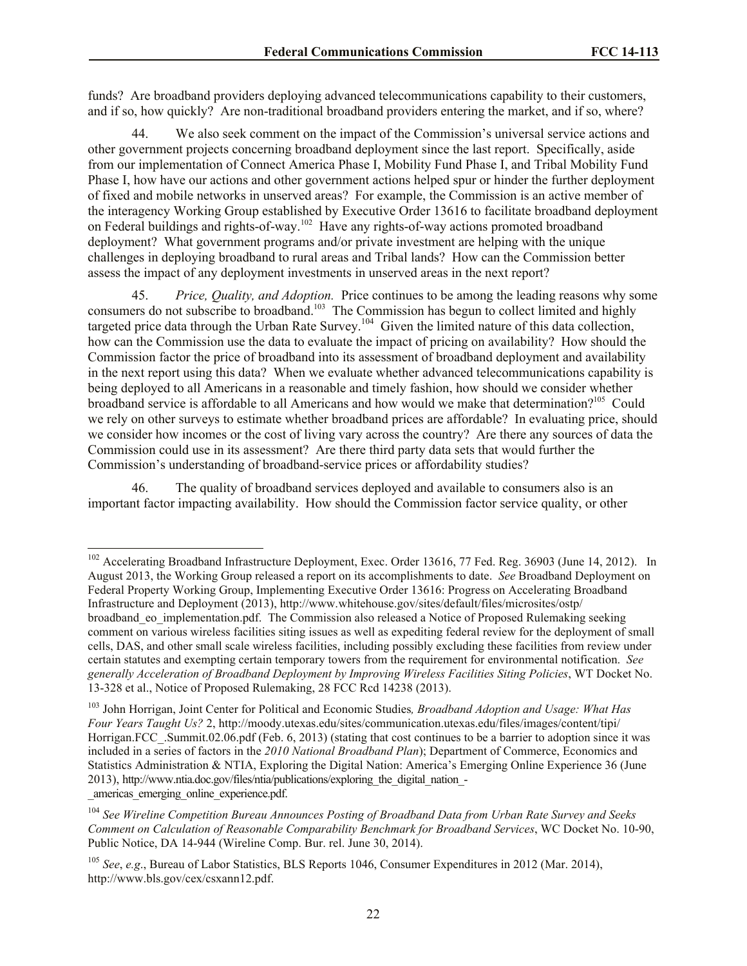funds? Are broadband providers deploying advanced telecommunications capability to their customers, and if so, how quickly? Are non-traditional broadband providers entering the market, and if so, where?

44. We also seek comment on the impact of the Commission's universal service actions and other government projects concerning broadband deployment since the last report. Specifically, aside from our implementation of Connect America Phase I, Mobility Fund Phase I, and Tribal Mobility Fund Phase I, how have our actions and other government actions helped spur or hinder the further deployment of fixed and mobile networks in unserved areas? For example, the Commission is an active member of the interagency Working Group established by Executive Order 13616 to facilitate broadband deployment on Federal buildings and rights-of-way.<sup>102</sup> Have any rights-of-way actions promoted broadband deployment? What government programs and/or private investment are helping with the unique challenges in deploying broadband to rural areas and Tribal lands? How can the Commission better assess the impact of any deployment investments in unserved areas in the next report?

45. *Price, Quality, and Adoption.* Price continues to be among the leading reasons why some consumers do not subscribe to broadband.<sup>103</sup> The Commission has begun to collect limited and highly targeted price data through the Urban Rate Survey.<sup>104</sup> Given the limited nature of this data collection, how can the Commission use the data to evaluate the impact of pricing on availability? How should the Commission factor the price of broadband into its assessment of broadband deployment and availability in the next report using this data? When we evaluate whether advanced telecommunications capability is being deployed to all Americans in a reasonable and timely fashion, how should we consider whether broadband service is affordable to all Americans and how would we make that determination?<sup>105</sup> Could we rely on other surveys to estimate whether broadband prices are affordable? In evaluating price, should we consider how incomes or the cost of living vary across the country? Are there any sources of data the Commission could use in its assessment? Are there third party data sets that would further the Commission's understanding of broadband-service prices or affordability studies?

46. The quality of broadband services deployed and available to consumers also is an important factor impacting availability. How should the Commission factor service quality, or other

<sup>&</sup>lt;sup>102</sup> Accelerating Broadband Infrastructure Deployment, Exec. Order 13616, 77 Fed. Reg. 36903 (June 14, 2012). In August 2013, the Working Group released a report on its accomplishments to date. *See* Broadband Deployment on Federal Property Working Group, Implementing Executive Order 13616: Progress on Accelerating Broadband Infrastructure and Deployment (2013), http://www.whitehouse.gov/sites/default/files/microsites/ostp/ broadband\_eo\_implementation.pdf. The Commission also released a Notice of Proposed Rulemaking seeking comment on various wireless facilities siting issues as well as expediting federal review for the deployment of small cells, DAS, and other small scale wireless facilities, including possibly excluding these facilities from review under certain statutes and exempting certain temporary towers from the requirement for environmental notification. *See generally Acceleration of Broadband Deployment by Improving Wireless Facilities Siting Policies*, WT Docket No. 13-328 et al., Notice of Proposed Rulemaking, 28 FCC Rcd 14238 (2013).

<sup>103</sup> John Horrigan, Joint Center for Political and Economic Studies*, Broadband Adoption and Usage: What Has Four Years Taught Us?* 2, http://moody.utexas.edu/sites/communication.utexas.edu/files/images/content/tipi/ Horrigan.FCC\_.Summit.02.06.pdf (Feb. 6, 2013) (stating that cost continues to be a barrier to adoption since it was included in a series of factors in the *2010 National Broadband Plan*); Department of Commerce, Economics and Statistics Administration & NTIA, Exploring the Digital Nation: America's Emerging Online Experience 36 (June 2013), http://www.ntia.doc.gov/files/ntia/publications/exploring\_the\_digital\_nation\_ americas emerging online experience.pdf.

<sup>104</sup> *See Wireline Competition Bureau Announces Posting of Broadband Data from Urban Rate Survey and Seeks Comment on Calculation of Reasonable Comparability Benchmark for Broadband Services*, WC Docket No. 10-90, Public Notice, DA 14-944 (Wireline Comp. Bur. rel. June 30, 2014).

<sup>105</sup> *See*, *e.g*., Bureau of Labor Statistics, BLS Reports 1046, Consumer Expenditures in 2012 (Mar. 2014), http://www.bls.gov/cex/csxann12.pdf.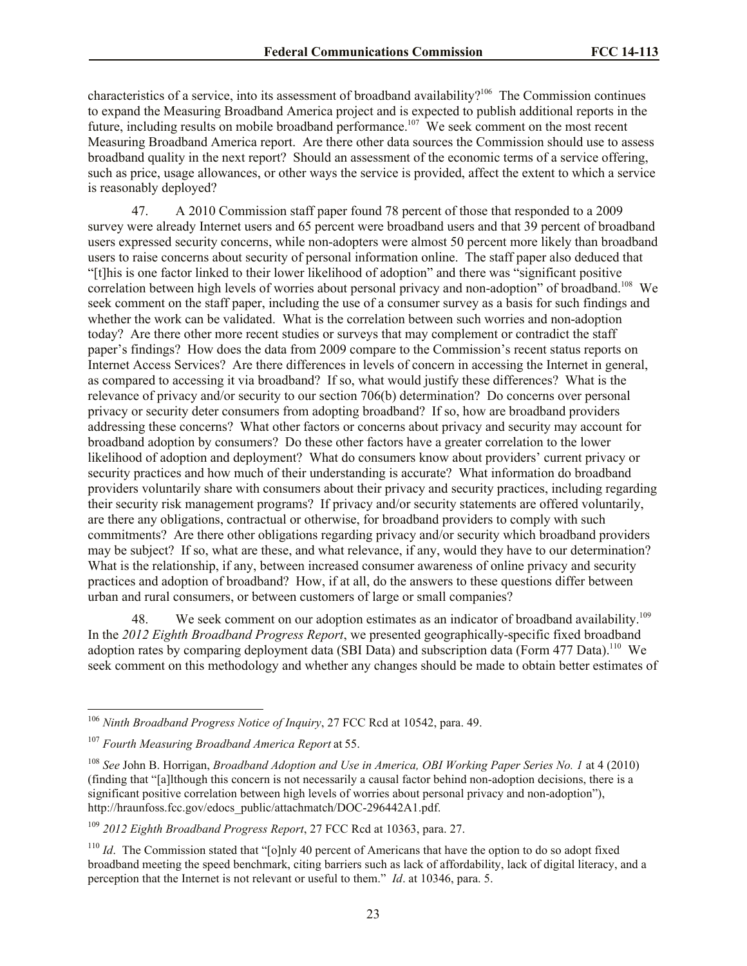characteristics of a service, into its assessment of broadband availability?<sup>106</sup> The Commission continues to expand the Measuring Broadband America project and is expected to publish additional reports in the future, including results on mobile broadband performance.<sup>107</sup> We seek comment on the most recent Measuring Broadband America report. Are there other data sources the Commission should use to assess broadband quality in the next report? Should an assessment of the economic terms of a service offering, such as price, usage allowances, or other ways the service is provided, affect the extent to which a service is reasonably deployed?

47. A 2010 Commission staff paper found 78 percent of those that responded to a 2009 survey were already Internet users and 65 percent were broadband users and that 39 percent of broadband users expressed security concerns, while non-adopters were almost 50 percent more likely than broadband users to raise concerns about security of personal information online. The staff paper also deduced that "[t]his is one factor linked to their lower likelihood of adoption" and there was "significant positive correlation between high levels of worries about personal privacy and non-adoption" of broadband.<sup>108</sup> We seek comment on the staff paper, including the use of a consumer survey as a basis for such findings and whether the work can be validated. What is the correlation between such worries and non-adoption today? Are there other more recent studies or surveys that may complement or contradict the staff paper's findings? How does the data from 2009 compare to the Commission's recent status reports on Internet Access Services? Are there differences in levels of concern in accessing the Internet in general, as compared to accessing it via broadband? If so, what would justify these differences? What is the relevance of privacy and/or security to our section 706(b) determination? Do concerns over personal privacy or security deter consumers from adopting broadband? If so, how are broadband providers addressing these concerns? What other factors or concerns about privacy and security may account for broadband adoption by consumers? Do these other factors have a greater correlation to the lower likelihood of adoption and deployment? What do consumers know about providers' current privacy or security practices and how much of their understanding is accurate? What information do broadband providers voluntarily share with consumers about their privacy and security practices, including regarding their security risk management programs? If privacy and/or security statements are offered voluntarily, are there any obligations, contractual or otherwise, for broadband providers to comply with such commitments? Are there other obligations regarding privacy and/or security which broadband providers may be subject? If so, what are these, and what relevance, if any, would they have to our determination? What is the relationship, if any, between increased consumer awareness of online privacy and security practices and adoption of broadband? How, if at all, do the answers to these questions differ between urban and rural consumers, or between customers of large or small companies?

48. We seek comment on our adoption estimates as an indicator of broadband availability.<sup>109</sup> In the *2012 Eighth Broadband Progress Report*, we presented geographically-specific fixed broadband adoption rates by comparing deployment data (SBI Data) and subscription data (Form 477 Data).<sup>110</sup> We seek comment on this methodology and whether any changes should be made to obtain better estimates of

<sup>106</sup> *Ninth Broadband Progress Notice of Inquiry*, 27 FCC Rcd at 10542, para. 49.

<sup>107</sup> *Fourth Measuring Broadband America Report* at 55.

<sup>108</sup> *See* John B. Horrigan, *Broadband Adoption and Use in America, OBI Working Paper Series No. 1* at 4 (2010) (finding that "[a]lthough this concern is not necessarily a causal factor behind non-adoption decisions, there is a significant positive correlation between high levels of worries about personal privacy and non-adoption"), http://hraunfoss.fcc.gov/edocs\_public/attachmatch/DOC-296442A1.pdf.

<sup>109</sup> *2012 Eighth Broadband Progress Report*, 27 FCC Rcd at 10363, para. 27.

<sup>&</sup>lt;sup>110</sup> *Id.* The Commission stated that "[o]nly 40 percent of Americans that have the option to do so adopt fixed broadband meeting the speed benchmark, citing barriers such as lack of affordability, lack of digital literacy, and a perception that the Internet is not relevant or useful to them." *Id*. at 10346, para. 5.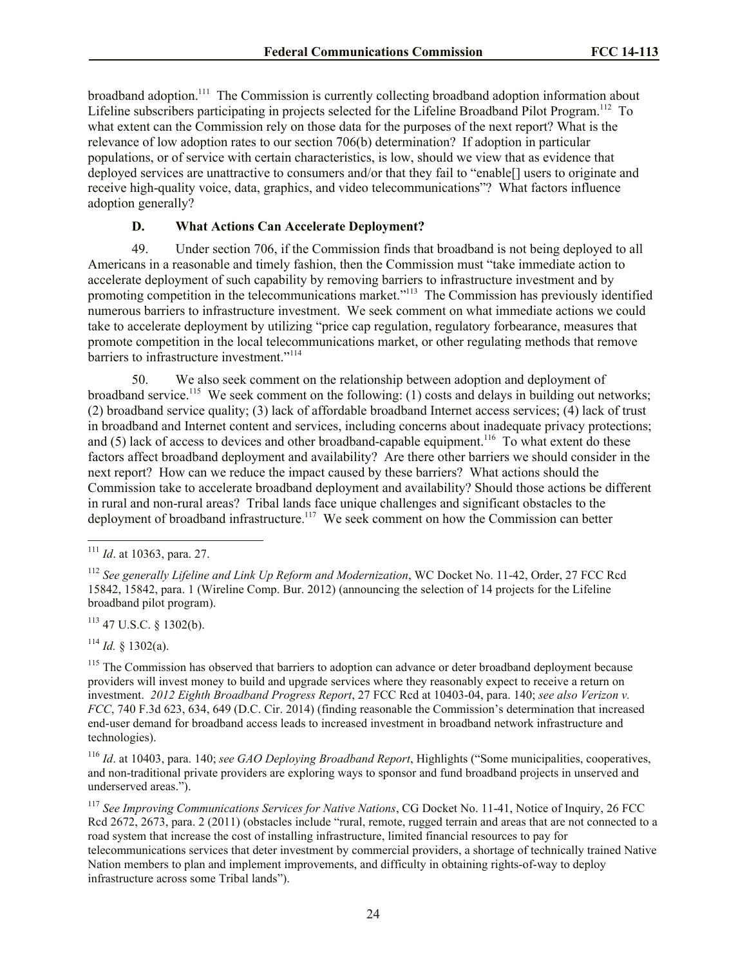broadband adoption.<sup>111</sup> The Commission is currently collecting broadband adoption information about Lifeline subscribers participating in projects selected for the Lifeline Broadband Pilot Program.<sup>112</sup> To what extent can the Commission rely on those data for the purposes of the next report? What is the relevance of low adoption rates to our section 706(b) determination? If adoption in particular populations, or of service with certain characteristics, is low, should we view that as evidence that deployed services are unattractive to consumers and/or that they fail to "enable[] users to originate and receive high-quality voice, data, graphics, and video telecommunications"? What factors influence adoption generally?

### **D. What Actions Can Accelerate Deployment?**

49. Under section 706, if the Commission finds that broadband is not being deployed to all Americans in a reasonable and timely fashion, then the Commission must "take immediate action to accelerate deployment of such capability by removing barriers to infrastructure investment and by promoting competition in the telecommunications market."<sup>113</sup> The Commission has previously identified numerous barriers to infrastructure investment. We seek comment on what immediate actions we could take to accelerate deployment by utilizing "price cap regulation, regulatory forbearance, measures that promote competition in the local telecommunications market, or other regulating methods that remove barriers to infrastructure investment."<sup>114</sup>

50. We also seek comment on the relationship between adoption and deployment of broadband service.<sup>115</sup> We seek comment on the following: (1) costs and delays in building out networks; (2) broadband service quality; (3) lack of affordable broadband Internet access services; (4) lack of trust in broadband and Internet content and services, including concerns about inadequate privacy protections; and  $(5)$  lack of access to devices and other broadband-capable equipment.<sup>116</sup> To what extent do these factors affect broadband deployment and availability? Are there other barriers we should consider in the next report? How can we reduce the impact caused by these barriers? What actions should the Commission take to accelerate broadband deployment and availability? Should those actions be different in rural and non-rural areas? Tribal lands face unique challenges and significant obstacles to the deployment of broadband infrastructure.<sup>117</sup> We seek comment on how the Commission can better

<sup>113</sup> 47 U.S.C. § 1302(b).

 $114$  *Id.* § 1302(a).

<sup>111</sup> *Id*. at 10363, para. 27.

<sup>112</sup> *See generally Lifeline and Link Up Reform and Modernization*, WC Docket No. 11-42, Order, 27 FCC Rcd 15842, 15842, para. 1 (Wireline Comp. Bur. 2012) (announcing the selection of 14 projects for the Lifeline broadband pilot program).

<sup>&</sup>lt;sup>115</sup> The Commission has observed that barriers to adoption can advance or deter broadband deployment because providers will invest money to build and upgrade services where they reasonably expect to receive a return on investment. *2012 Eighth Broadband Progress Report*, 27 FCC Rcd at 10403-04, para. 140; *see also Verizon v. FCC*, 740 F.3d 623, 634, 649 (D.C. Cir. 2014) (finding reasonable the Commission's determination that increased end-user demand for broadband access leads to increased investment in broadband network infrastructure and technologies).

<sup>116</sup> *Id*. at 10403, para. 140; *see GAO Deploying Broadband Report*, Highlights ("Some municipalities, cooperatives, and non-traditional private providers are exploring ways to sponsor and fund broadband projects in unserved and underserved areas.").

<sup>117</sup> *See Improving Communications Services for Native Nations*, CG Docket No. 11-41, Notice of Inquiry, 26 FCC Rcd 2672, 2673, para. 2 (2011) (obstacles include "rural, remote, rugged terrain and areas that are not connected to a road system that increase the cost of installing infrastructure, limited financial resources to pay for telecommunications services that deter investment by commercial providers, a shortage of technically trained Native Nation members to plan and implement improvements, and difficulty in obtaining rights-of-way to deploy infrastructure across some Tribal lands").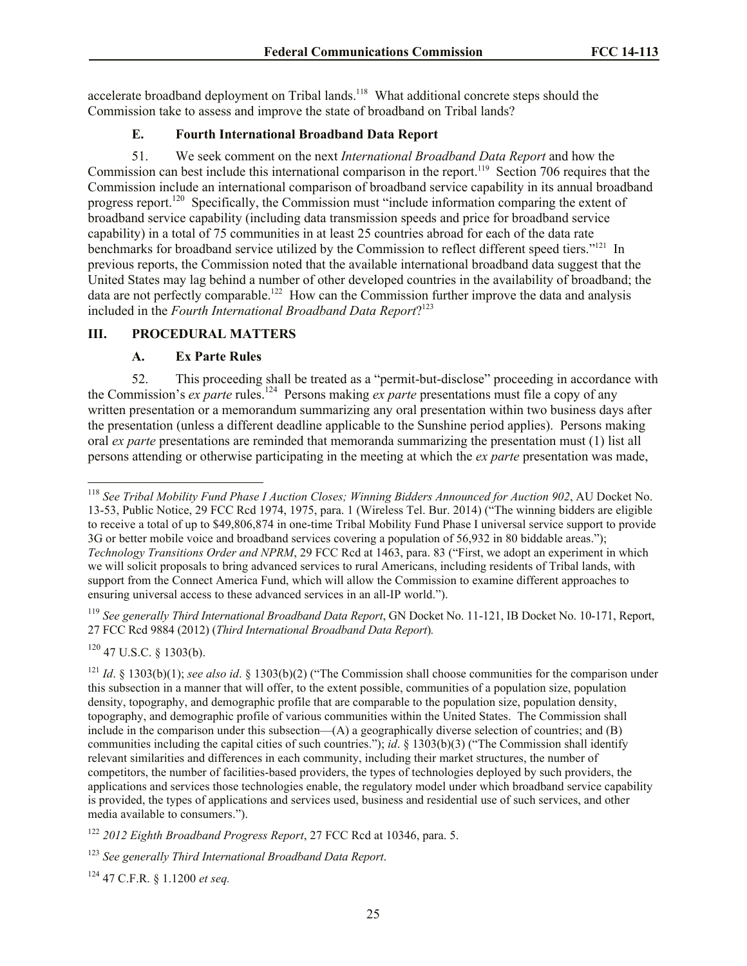accelerate broadband deployment on Tribal lands.<sup>118</sup> What additional concrete steps should the Commission take to assess and improve the state of broadband on Tribal lands?

## **E. Fourth International Broadband Data Report**

51. We seek comment on the next *International Broadband Data Report* and how the Commission can best include this international comparison in the report.<sup>119</sup> Section 706 requires that the Commission include an international comparison of broadband service capability in its annual broadband progress report.<sup>120</sup> Specifically, the Commission must "include information comparing the extent of broadband service capability (including data transmission speeds and price for broadband service capability) in a total of 75 communities in at least 25 countries abroad for each of the data rate benchmarks for broadband service utilized by the Commission to reflect different speed tiers."<sup>121</sup> In previous reports, the Commission noted that the available international broadband data suggest that the United States may lag behind a number of other developed countries in the availability of broadband; the data are not perfectly comparable.<sup>122</sup> How can the Commission further improve the data and analysis included in the *Fourth International Broadband Data Report*? 123

## **III. PROCEDURAL MATTERS**

#### **A. Ex Parte Rules**

52. This proceeding shall be treated as a "permit-but-disclose" proceeding in accordance with the Commission's *ex parte* rules.<sup>124</sup> Persons making *ex parte* presentations must file a copy of any written presentation or a memorandum summarizing any oral presentation within two business days after the presentation (unless a different deadline applicable to the Sunshine period applies). Persons making oral *ex parte* presentations are reminded that memoranda summarizing the presentation must (1) list all persons attending or otherwise participating in the meeting at which the *ex parte* presentation was made,

<sup>119</sup> *See generally Third International Broadband Data Report*, GN Docket No. 11-121, IB Docket No. 10-171, Report, 27 FCC Rcd 9884 (2012) (*Third International Broadband Data Report*)*.*

 $120$  47 U.S.C. § 1303(b).

l

<sup>121</sup> *Id*. § 1303(b)(1); *see also id.* § 1303(b)(2) ("The Commission shall choose communities for the comparison under this subsection in a manner that will offer, to the extent possible, communities of a population size, population density, topography, and demographic profile that are comparable to the population size, population density, topography, and demographic profile of various communities within the United States. The Commission shall include in the comparison under this subsection—(A) a geographically diverse selection of countries; and (B) communities including the capital cities of such countries."); *id*. § 1303(b)(3) ("The Commission shall identify relevant similarities and differences in each community, including their market structures, the number of competitors, the number of facilities-based providers, the types of technologies deployed by such providers, the applications and services those technologies enable, the regulatory model under which broadband service capability is provided, the types of applications and services used, business and residential use of such services, and other media available to consumers.").

<sup>122</sup> *2012 Eighth Broadband Progress Report*, 27 FCC Rcd at 10346, para. 5.

<sup>123</sup> *See generally Third International Broadband Data Report*.

<sup>124</sup> 47 C.F.R. § 1.1200 *et seq.*

<sup>118</sup> *See Tribal Mobility Fund Phase I Auction Closes; Winning Bidders Announced for Auction 902*, AU Docket No. 13-53, Public Notice, 29 FCC Rcd 1974, 1975, para. 1 (Wireless Tel. Bur. 2014) ("The winning bidders are eligible to receive a total of up to \$49,806,874 in one-time Tribal Mobility Fund Phase I universal service support to provide 3G or better mobile voice and broadband services covering a population of 56,932 in 80 biddable areas."); *Technology Transitions Order and NPRM*, 29 FCC Rcd at 1463, para. 83 ("First, we adopt an experiment in which we will solicit proposals to bring advanced services to rural Americans, including residents of Tribal lands, with support from the Connect America Fund, which will allow the Commission to examine different approaches to ensuring universal access to these advanced services in an all-IP world.").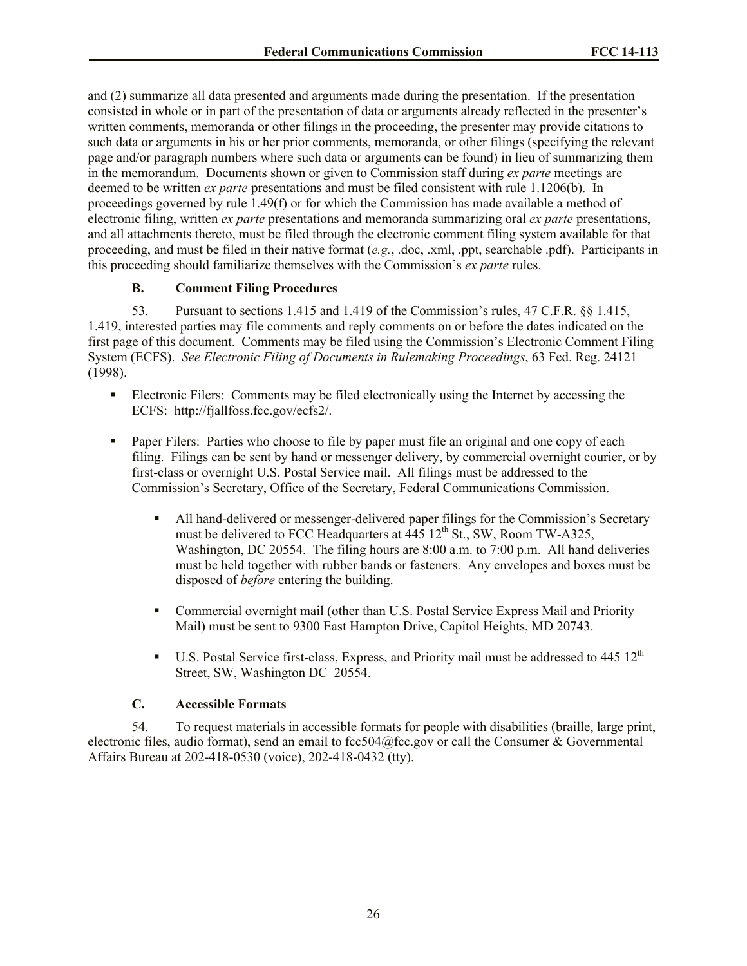and (2) summarize all data presented and arguments made during the presentation. If the presentation consisted in whole or in part of the presentation of data or arguments already reflected in the presenter's written comments, memoranda or other filings in the proceeding, the presenter may provide citations to such data or arguments in his or her prior comments, memoranda, or other filings (specifying the relevant page and/or paragraph numbers where such data or arguments can be found) in lieu of summarizing them in the memorandum. Documents shown or given to Commission staff during *ex parte* meetings are deemed to be written *ex parte* presentations and must be filed consistent with rule 1.1206(b). In proceedings governed by rule 1.49(f) or for which the Commission has made available a method of electronic filing, written *ex parte* presentations and memoranda summarizing oral *ex parte* presentations, and all attachments thereto, must be filed through the electronic comment filing system available for that proceeding, and must be filed in their native format (*e.g.*, .doc, .xml, .ppt, searchable .pdf). Participants in this proceeding should familiarize themselves with the Commission's *ex parte* rules.

# **B. Comment Filing Procedures**

53. Pursuant to sections 1.415 and 1.419 of the Commission's rules, 47 C.F.R. §§ 1.415, 1.419, interested parties may file comments and reply comments on or before the dates indicated on the first page of this document. Comments may be filed using the Commission's Electronic Comment Filing System (ECFS). *See Electronic Filing of Documents in Rulemaking Proceedings*, 63 Fed. Reg. 24121 (1998).

- Electronic Filers: Comments may be filed electronically using the Internet by accessing the ECFS: http://fjallfoss.fcc.gov/ecfs2/.
- **Paper Filers:** Parties who choose to file by paper must file an original and one copy of each filing. Filings can be sent by hand or messenger delivery, by commercial overnight courier, or by first-class or overnight U.S. Postal Service mail. All filings must be addressed to the Commission's Secretary, Office of the Secretary, Federal Communications Commission.
	- All hand-delivered or messenger-delivered paper filings for the Commission's Secretary must be delivered to FCC Headquarters at  $\frac{445}{12}$ th St., SW, Room TW-A325, Washington, DC 20554. The filing hours are 8:00 a.m. to 7:00 p.m. All hand deliveries must be held together with rubber bands or fasteners. Any envelopes and boxes must be disposed of *before* entering the building.
	- Commercial overnight mail (other than U.S. Postal Service Express Mail and Priority Mail) must be sent to 9300 East Hampton Drive, Capitol Heights, MD 20743.
	- $\blacksquare$  U.S. Postal Service first-class, Express, and Priority mail must be addressed to 445 12<sup>th</sup> Street, SW, Washington DC 20554.

## **C. Accessible Formats**

54. To request materials in accessible formats for people with disabilities (braille, large print, electronic files, audio format), send an email to fcc504@fcc.gov or call the Consumer & Governmental Affairs Bureau at 202-418-0530 (voice), 202-418-0432 (tty).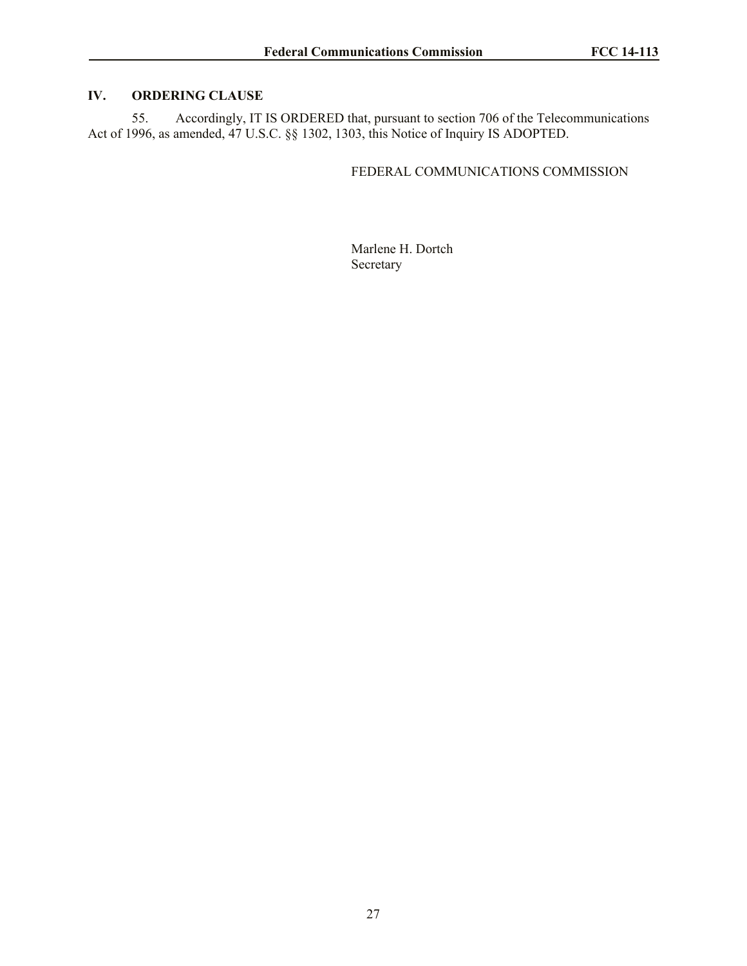# **IV. ORDERING CLAUSE**

55. Accordingly, IT IS ORDERED that, pursuant to section 706 of the Telecommunications Act of 1996, as amended, 47 U.S.C. §§ 1302, 1303, this Notice of Inquiry IS ADOPTED.

## FEDERAL COMMUNICATIONS COMMISSION

Marlene H. Dortch Secretary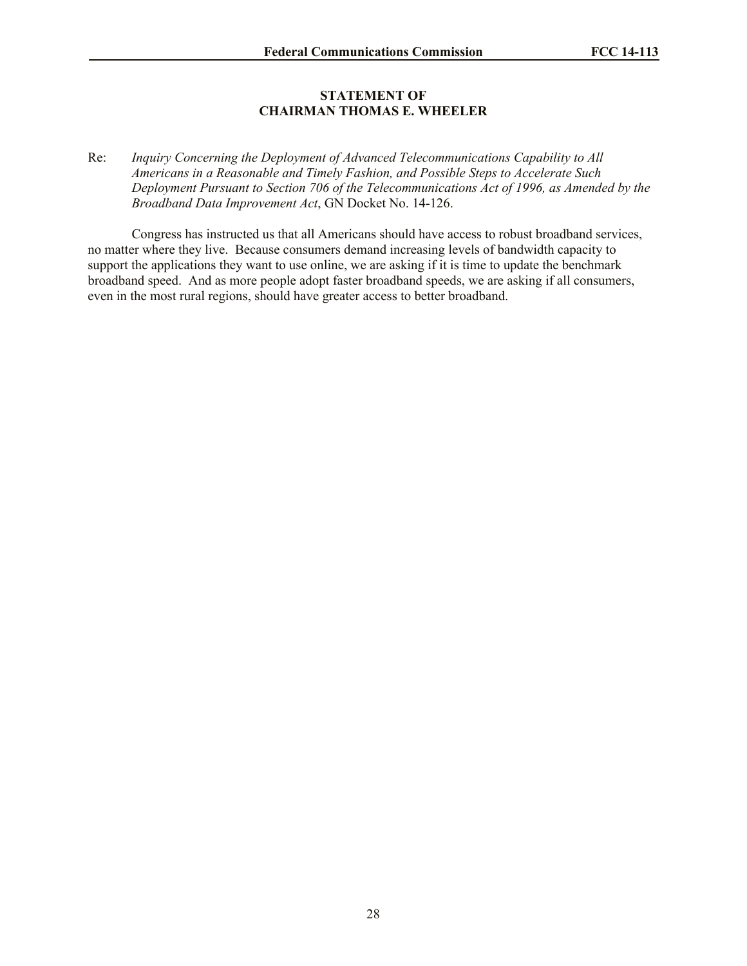#### **STATEMENT OF CHAIRMAN THOMAS E. WHEELER**

Re: *Inquiry Concerning the Deployment of Advanced Telecommunications Capability to All Americans in a Reasonable and Timely Fashion, and Possible Steps to Accelerate Such Deployment Pursuant to Section 706 of the Telecommunications Act of 1996, as Amended by the Broadband Data Improvement Act*, GN Docket No. 14-126.

Congress has instructed us that all Americans should have access to robust broadband services, no matter where they live. Because consumers demand increasing levels of bandwidth capacity to support the applications they want to use online, we are asking if it is time to update the benchmark broadband speed. And as more people adopt faster broadband speeds, we are asking if all consumers, even in the most rural regions, should have greater access to better broadband.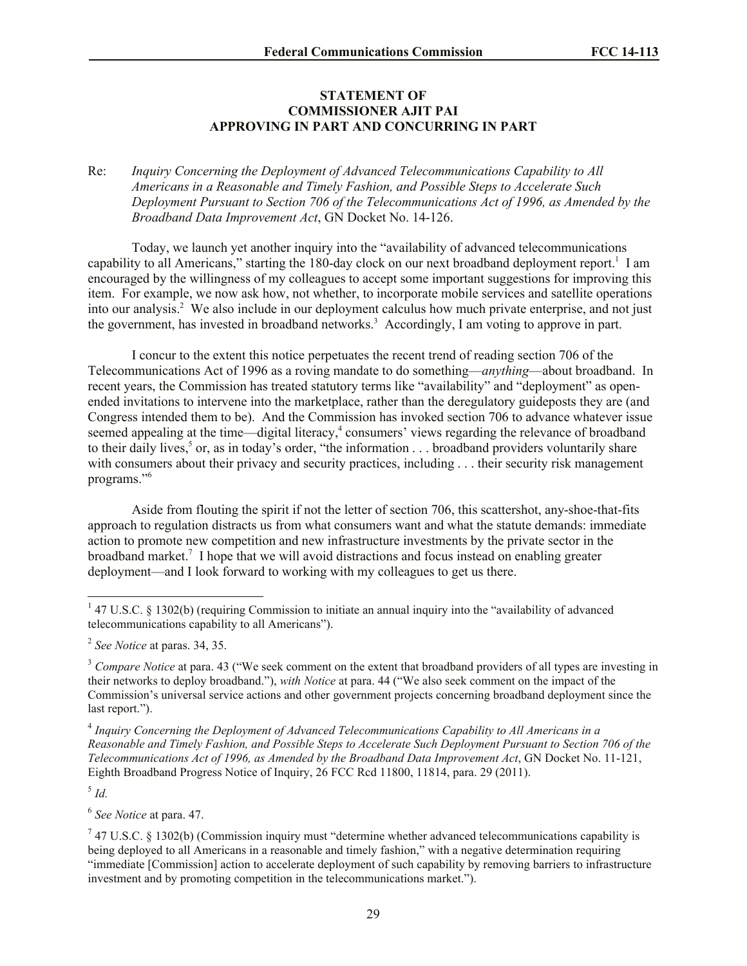#### **STATEMENT OF COMMISSIONER AJIT PAI APPROVING IN PART AND CONCURRING IN PART**

#### Re: *Inquiry Concerning the Deployment of Advanced Telecommunications Capability to All Americans in a Reasonable and Timely Fashion, and Possible Steps to Accelerate Such Deployment Pursuant to Section 706 of the Telecommunications Act of 1996, as Amended by the Broadband Data Improvement Act*, GN Docket No. 14-126.

Today, we launch yet another inquiry into the "availability of advanced telecommunications capability to all Americans," starting the 180-day clock on our next broadband deployment report.<sup>1</sup> I am encouraged by the willingness of my colleagues to accept some important suggestions for improving this item. For example, we now ask how, not whether, to incorporate mobile services and satellite operations into our analysis.<sup>2</sup> We also include in our deployment calculus how much private enterprise, and not just the government, has invested in broadband networks.<sup>3</sup> Accordingly, I am voting to approve in part.

I concur to the extent this notice perpetuates the recent trend of reading section 706 of the Telecommunications Act of 1996 as a roving mandate to do something—*anything*—about broadband. In recent years, the Commission has treated statutory terms like "availability" and "deployment" as openended invitations to intervene into the marketplace, rather than the deregulatory guideposts they are (and Congress intended them to be). And the Commission has invoked section 706 to advance whatever issue seemed appealing at the time—digital literacy,<sup>4</sup> consumers' views regarding the relevance of broadband to their daily lives,<sup>5</sup> or, as in today's order, "the information  $\dots$  broadband providers voluntarily share with consumers about their privacy and security practices, including . . . their security risk management programs."<sup>6</sup>

Aside from flouting the spirit if not the letter of section 706, this scattershot, any-shoe-that-fits approach to regulation distracts us from what consumers want and what the statute demands: immediate action to promote new competition and new infrastructure investments by the private sector in the broadband market.<sup>7</sup> I hope that we will avoid distractions and focus instead on enabling greater deployment—and I look forward to working with my colleagues to get us there.

5 *Id.*

6 *See Notice* at para. 47.

 $747$  U.S.C. § 1302(b) (Commission inquiry must "determine whether advanced telecommunications capability is being deployed to all Americans in a reasonable and timely fashion," with a negative determination requiring "immediate [Commission] action to accelerate deployment of such capability by removing barriers to infrastructure investment and by promoting competition in the telecommunications market.").

<sup>&</sup>lt;sup>1</sup> 47 U.S.C. § 1302(b) (requiring Commission to initiate an annual inquiry into the "availability of advanced" telecommunications capability to all Americans").

<sup>2</sup> *See Notice* at paras. 34, 35.

<sup>3</sup> *Compare Notice* at para. 43 ("We seek comment on the extent that broadband providers of all types are investing in their networks to deploy broadband."), *with Notice* at para. 44 ("We also seek comment on the impact of the Commission's universal service actions and other government projects concerning broadband deployment since the last report.").

<sup>4</sup> *Inquiry Concerning the Deployment of Advanced Telecommunications Capability to All Americans in a Reasonable and Timely Fashion, and Possible Steps to Accelerate Such Deployment Pursuant to Section 706 of the Telecommunications Act of 1996, as Amended by the Broadband Data Improvement Act*, GN Docket No. 11-121, Eighth Broadband Progress Notice of Inquiry, 26 FCC Rcd 11800, 11814, para. 29 (2011).